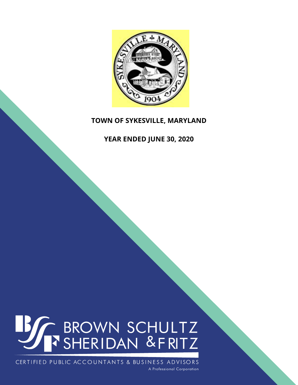

**YEAR ENDED JUNE 30, 2020** 

# **BEAT BROWN SCHULTZ**

CERTIFIED PUBLIC ACCOUNTANTS & BUSINESS ADVISORS A Professional Corporation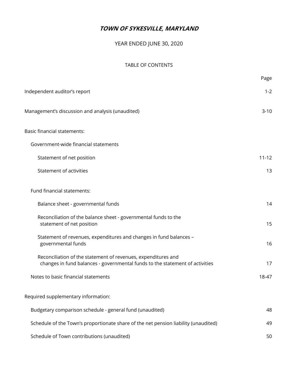YEAR ENDED JUNE 30, 2020

## TABLE OF CONTENTS

|                                                                                                                                               | Page      |
|-----------------------------------------------------------------------------------------------------------------------------------------------|-----------|
| Independent auditor's report                                                                                                                  | $1 - 2$   |
| Management's discussion and analysis (unaudited)                                                                                              | $3-10$    |
| <b>Basic financial statements:</b>                                                                                                            |           |
| Government-wide financial statements                                                                                                          |           |
| Statement of net position                                                                                                                     | $11 - 12$ |
| <b>Statement of activities</b>                                                                                                                | 13        |
| Fund financial statements:                                                                                                                    |           |
| Balance sheet - governmental funds                                                                                                            | 14        |
| Reconciliation of the balance sheet - governmental funds to the<br>statement of net position                                                  | 15        |
| Statement of revenues, expenditures and changes in fund balances -<br>governmental funds                                                      | 16        |
| Reconciliation of the statement of revenues, expenditures and<br>changes in fund balances - governmental funds to the statement of activities | 17        |
| Notes to basic financial statements                                                                                                           | 18-47     |
| Required supplementary information:                                                                                                           |           |
| Budgetary comparison schedule - general fund (unaudited)                                                                                      | 48        |
| Schedule of the Town's proportionate share of the net pension liability (unaudited)                                                           | 49        |
| Schedule of Town contributions (unaudited)                                                                                                    | 50        |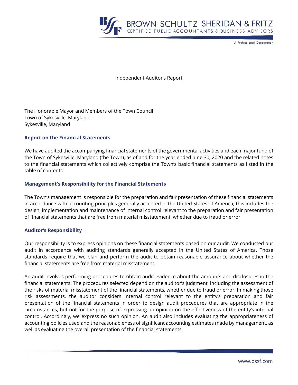

A Professional Corporation

Independent Auditor's Report

The Honorable Mayor and Members of the Town Council Town of Sykesville, Maryland Sykesville, Maryland

#### **Report on the Financial Statements**

We have audited the accompanying financial statements of the governmental activities and each major fund of the Town of Sykesville, Maryland (the Town), as of and for the year ended June 30, 2020 and the related notes to the financial statements which collectively comprise the Town's basic financial statements as listed in the table of contents.

#### **Management's Responsibility for the Financial Statements**

The Town's management is responsible for the preparation and fair presentation of these financial statements in accordance with accounting principles generally accepted in the United States of America; this includes the design, implementation and maintenance of internal control relevant to the preparation and fair presentation of financial statements that are free from material misstatement, whether due to fraud or error.

#### **Auditor's Responsibility**

Our responsibility is to express opinions on these financial statements based on our audit. We conducted our audit in accordance with auditing standards generally accepted in the United States of America. Those standards require that we plan and perform the audit to obtain reasonable assurance about whether the financial statements are free from material misstatement.

An audit involves performing procedures to obtain audit evidence about the amounts and disclosures in the financial statements. The procedures selected depend on the auditor's judgment, including the assessment of the risks of material misstatement of the financial statements, whether due to fraud or error. In making those risk assessments, the auditor considers internal control relevant to the entity's preparation and fair presentation of the financial statements in order to design audit procedures that are appropriate in the circumstances, but not for the purpose of expressing an opinion on the effectiveness of the entity's internal control. Accordingly, we express no such opinion. An audit also includes evaluating the appropriateness of accounting policies used and the reasonableness of significant accounting estimates made by management, as well as evaluating the overall presentation of the financial statements.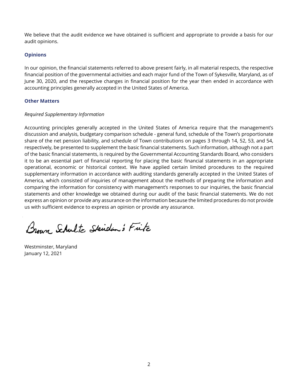We believe that the audit evidence we have obtained is sufficient and appropriate to provide a basis for our audit opinions.

#### **Opinions**

In our opinion, the financial statements referred to above present fairly, in all material respects, the respective financial position of the governmental activities and each major fund of the Town of Sykesville, Maryland, as of June 30, 2020, and the respective changes in financial position for the year then ended in accordance with accounting principles generally accepted in the United States of America.

#### **Other Matters**

#### *Required Supplementary Information*

Accounting principles generally accepted in the United States of America require that the management's discussion and analysis, budgetary comparison schedule - general fund, schedule of the Town's proportionate share of the net pension liability, and schedule of Town contributions on pages 3 through 14, 52, 53, and 54, respectively, be presented to supplement the basic financial statements. Such information, although not a part of the basic financial statements, is required by the Governmental Accounting Standards Board, who considers it to be an essential part of financial reporting for placing the basic financial statements in an appropriate operational, economic or historical context. We have applied certain limited procedures to the required supplementary information in accordance with auditing standards generally accepted in the United States of America, which consisted of inquiries of management about the methods of preparing the information and comparing the information for consistency with management's responses to our inquiries, the basic financial statements and other knowledge we obtained during our audit of the basic financial statements. We do not express an opinion or provide any assurance on the information because the limited procedures do not provide us with sufficient evidence to express an opinion or provide any assurance.

Brown Schultz Skeidan's Fitz

Westminster, Maryland January 12, 2021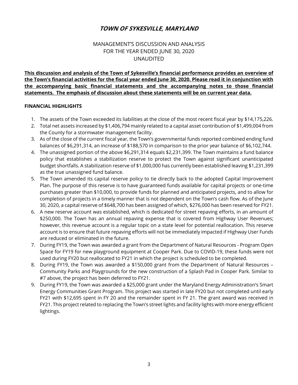## MANAGEMENT'S DISCUSSION AND ANALYSIS FOR THE YEAR ENDED JUNE 30, 2020 UNAUDITED

**This discussion and analysis of the Town of Sykesville's financial performance provides an overview of the Town's financial activities for the fiscal year ended June 30, 2020. Please read it in conjunction with the accompanying basic financial statements and the accompanying notes to those financial statements. The emphasis of discussion about these statements will be on current year data.** 

#### **FINANCIAL HIGHLIGHTS**

- 1. The assets of the Town exceeded its liabilities at the close of the most recent fiscal year by \$14,175,226.
- 2. Total net assets increased by \$1,406,794 mainly related to a capital asset contribution of \$1,499,004 from the County for a stormwater management facility.
- 3. As of the close of the current fiscal year, the Town's governmental funds reported combined ending fund balances of \$6,291,314, an increase of \$188,570 in comparison to the prior year balance of \$6,102,744.
- 4. The unassigned portion of the above \$6,291,314 equals \$2,231,399. The Town maintains a fund balance policy that establishes a stabilization reserve to protect the Town against significant unanticipated budget shortfalls. A stabilization reserve of \$1,000,000 has currently been established leaving \$1,231,399 as the true unassigned fund balance.
- 5. The Town amended its capital reserve policy to tie directly back to the adopted Capital Improvement Plan. The purpose of this reserve is to have guaranteed funds available for capital projects or one-time purchases greater than \$10,000, to provide funds for planned and anticipated projects, and to allow for completion of projects in a timely manner that is not dependent on the Town's cash flow. As of the June 30, 2020, a capital reserve of \$648,700 has been assigned of which, \$276,000 has been reserved for FY21.
- 6. A new reserve account was established, which is dedicated for street repaving efforts, in an amount of \$250,000. The Town has an annual repaving expense that is covered from Highway User Revenues; however, this revenue account is a regular topic on a state level for potential reallocation. This reserve account is to ensure that future repaving efforts will not be immediately impacted if Highway User Funds are reduced or eliminated in the future.
- 7. During FY19, the Town was awarded a grant from the Department of Natural Resources Program Open Space for FY19 for new playground equipment at Cooper Park. Due to COVID-19, these funds were not used during FY20 but reallocated to FY21 in which the project is scheduled to be completed.
- 8. During FY19, the Town was awarded a \$150,000 grant from the Department of Natural Resources -Community Parks and Playgrounds for the new construction of a Splash Pad in Cooper Park. Similar to #7 above, the project has been deferred to FY21.
- 9. During FY19, the Town was awarded a \$25,000 grant under the Maryland Energy Administration's Smart Energy Communities Grant Program. This project was started in late FY20 but not completed until early FY21 with \$12,695 spent in FY 20 and the remainder spent in FY 21. The grant award was received in FY21. This project related to replacing the Town's street lights and facility lights with more energy efficient lightings.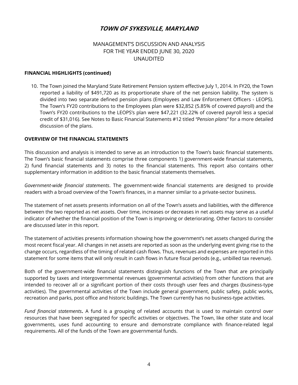## MANAGEMENT'S DISCUSSION AND ANALYSIS FOR THE YEAR ENDED JUNE 30, 2020 UNAUDITED

#### **FINANCIAL HIGHLIGHTS (continued)**

10. The Town joined the Maryland State Retirement Pension system effective July 1, 2014. In FY20, the Town reported a liability of \$491,720 as its proportionate share of the net pension liability. The system is divided into two separate defined pension plans (Employees and Law Enforcement Officers - LEOPS). The Town's FY20 contributions to the Employees plan were \$32,852 (5.85% of covered payroll) and the Town's FY20 contributions to the LEOPS's plan were \$47,221 (32.22% of covered payroll less a special credit of \$31,016). See Notes to Basic Financial Statements #12 titled *"Pension plans"* for a more detailed discussion of the plans.

#### **OVERVIEW OF THE FINANCIAL STATEMENTS**

This discussion and analysis is intended to serve as an introduction to the Town's basic financial statements. The Town's basic financial statements comprise three components 1) government-wide financial statements, 2) fund financial statements and 3) notes to the financial statements. This report also contains other supplementary information in addition to the basic financial statements themselves.

*Government-wide financial statements*. The government-wide financial statements are designed to provide readers with a broad overview of the Town's finances, in a manner similar to a private-sector business.

The statement of net assets presents information on all of the Town's assets and liabilities, with the difference between the two reported as net assets. Over time, increases or decreases in net assets may serve as a useful indicator of whether the financial position of the Town is improving or deteriorating. Other factors to consider are discussed later in this report.

The statement of activities presents information showing how the government's net assets changed during the most recent fiscal year. All changes in net assets are reported as soon as the underlying event giving rise to the change occurs, regardless of the timing of related cash flows. Thus, revenues and expenses are reported in this statement for some items that will only result in cash flows in future fiscal periods (e.g., unbilled tax revenue).

Both of the government-wide financial statements distinguish functions of the Town that are principally supported by taxes and intergovernmental revenues (governmental activities) from other functions that are intended to recover all or a significant portion of their costs through user fees and charges (business-type activities). The governmental activities of the Town include general government, public safety, public works, recreation and parks, post office and historic buildings. The Town currently has no business-type activities.

*Fund financial statements***.** A fund is a grouping of related accounts that is used to maintain control over resources that have been segregated for specific activities or objectives. The Town, like other state and local governments, uses fund accounting to ensure and demonstrate compliance with finance-related legal requirements. All of the funds of the Town are governmental funds.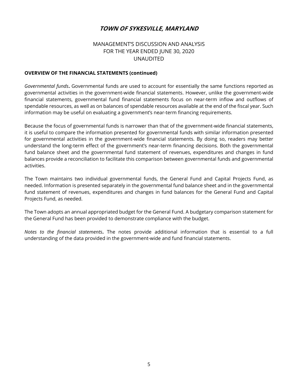## MANAGEMENT'S DISCUSSION AND ANALYSIS FOR THE YEAR ENDED JUNE 30, 2020 UNAUDITED

#### **OVERVIEW OF THE FINANCIAL STATEMENTS (continued)**

*Governmental funds***.** Governmental funds are used to account for essentially the same functions reported as governmental activities in the government-wide financial statements. However, unlike the government-wide financial statements, governmental fund financial statements focus on near-term inflow and outflows of spendable resources, as well as on balances of spendable resources available at the end of the fiscal year. Such information may be useful on evaluating a government's near-term financing requirements.

Because the focus of governmental funds is narrower than that of the government-wide financial statements, it is useful to compare the information presented for governmental funds with similar information presented for governmental activities in the government-wide financial statements. By doing so, readers may better understand the long-term effect of the government's near-term financing decisions. Both the governmental fund balance sheet and the governmental fund statement of revenues, expenditures and changes in fund balances provide a reconciliation to facilitate this comparison between governmental funds and governmental activities.

The Town maintains two individual governmental funds, the General Fund and Capital Projects Fund, as needed. Information is presented separately in the governmental fund balance sheet and in the governmental fund statement of revenues, expenditures and changes in fund balances for the General Fund and Capital Projects Fund, as needed.

The Town adopts an annual appropriated budget for the General Fund. A budgetary comparison statement for the General Fund has been provided to demonstrate compliance with the budget.

*Notes to the financial statements***.** The notes provide additional information that is essential to a full understanding of the data provided in the government-wide and fund financial statements.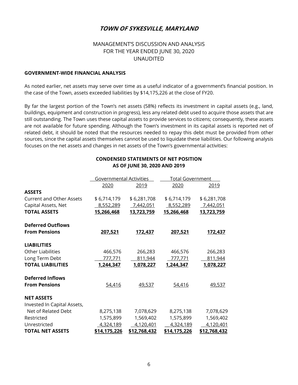## MANAGEMENT'S DISCUSSION AND ANALYSIS FOR THE YEAR ENDED JUNE 30, 2020 UNAUDITED

#### **GOVERNMENT-WIDE FINANCIAL ANALYSIS**

As noted earlier, net assets may serve over time as a useful indicator of a government's financial position. In the case of the Town, assets exceeded liabilities by \$14,175,226 at the close of FY20.

By far the largest portion of the Town's net assets (58%) reflects its investment in capital assets (e.g., land, buildings, equipment and construction in progress), less any related debt used to acquire those assets that are still outstanding. The Town uses these capital assets to provide services to citizens; consequently, these assets are not available for future spending. Although the Town's investment in its capital assets is reported net of related debt, it should be noted that the resources needed to repay this debt must be provided from other sources, since the capital assets themselves cannot be used to liquidate these liabilities. Our following analysis focuses on the net assets and changes in net assets of the Town's governmental activities:

|                                 | <b>Governmental Activities</b> |                | <b>Total Government</b> |                |  |  |
|---------------------------------|--------------------------------|----------------|-------------------------|----------------|--|--|
|                                 | 2020                           | 2019           |                         | 2019           |  |  |
| <b>ASSETS</b>                   |                                |                |                         |                |  |  |
| <b>Current and Other Assets</b> | \$6,714,179                    | \$6,281,708    | \$6,714,179             | \$6,281,708    |  |  |
| Capital Assets, Net             | 8,552,289                      | 7,442,051      | 8,552,289               | 7,442,051      |  |  |
| <b>TOTAL ASSETS</b>             | 15,266,468                     | 13,723,759     | 15,266,468              | 13,723,759     |  |  |
| <b>Deferred Outflows</b>        |                                |                |                         |                |  |  |
| <b>From Pensions</b>            | 207,521                        | <u>172,437</u> | 207,521                 | <u>172,437</u> |  |  |
| <b>LIABILITIES</b>              |                                |                |                         |                |  |  |
| <b>Other Liabilities</b>        | 466,576                        | 266,283        | 466,576                 | 266,283        |  |  |
| Long Term Debt                  | 777,771                        | 811,944        | 777,771                 | 811,944        |  |  |
| <b>TOTAL LIABILITIES</b>        | 1,244,347                      | 1,078,227      | 1,244,347               | 1,078,227      |  |  |
| <b>Deferred Inflows</b>         |                                |                |                         |                |  |  |
| <b>From Pensions</b>            | 54,416                         | 49,537         | 54,416                  | 49,537         |  |  |
| <b>NET ASSETS</b>               |                                |                |                         |                |  |  |
| Invested In Capital Assets,     |                                |                |                         |                |  |  |
| Net of Related Debt             | 8,275,138                      | 7,078,629      | 8,275,138               | 7,078,629      |  |  |
| Restricted                      | 1,575,899                      | 1,569,402      | 1,575,899               | 1,569,402      |  |  |
| Unrestricted                    | 4,324,189                      | 4,120,401      | 4,324,189               | 4,120,401      |  |  |
| <b>TOTAL NET ASSETS</b>         | \$14,175,226                   | \$12,768,432   | \$14,175,226            | \$12,768,432   |  |  |

#### **CONDENSED STATEMENTS OF NET POSITION AS OF JUNE 30, 2020 AND 2019**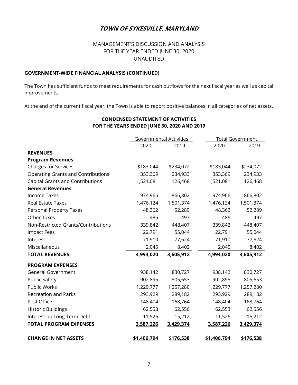## MANAGEMENT'S DISCUSSION AND ANALYSIS FOR THE YEAR ENDED JUNE 30, 2020 UNAUDITED

#### **GOVERNMENT-WIDE FINANCIAL ANALYSIS (CONTINUED)**

The Town has sufficient funds to meet requirements for cash outflows for the next fiscal year as well as capital improvements.

At the end of the current fiscal year, the Town is able to report positive balances in all categories of net assets.

|                                           | <b>Governmental Activities</b> |           |             | <b>Total Government</b> |  |
|-------------------------------------------|--------------------------------|-----------|-------------|-------------------------|--|
|                                           | 2020                           | 2019      | 2020        | 2019                    |  |
| <b>REVENUES</b>                           |                                |           |             |                         |  |
| <b>Program Revenues</b>                   |                                |           |             |                         |  |
| <b>Charges for Services</b>               | \$183,044                      | \$234,072 | \$183,044   | \$234,072               |  |
| <b>Operating Grants and Contributions</b> | 353,369                        | 234,933   | 353,369     | 234,933                 |  |
| <b>Capital Grants and Contributions</b>   | 1,521,081                      | 126,468   | 1,521,081   | 126,468                 |  |
| <b>General Revenues</b>                   |                                |           |             |                         |  |
| <b>Income Taxes</b>                       | 974,966                        | 866,802   | 974,966     | 866,802                 |  |
| <b>Real Estate Taxes</b>                  | 1,476,124                      | 1,501,374 | 1,476,124   | 1,501,374               |  |
| <b>Personal Property Taxes</b>            | 48,362                         | 52,289    | 48,362      | 52,289                  |  |
| <b>Other Taxes</b>                        | 486                            | 497       | 486         | 497                     |  |
| Non-Restricted Grants/Contributions       | 339,842                        | 448,407   | 339,842     | 448,407                 |  |
| <b>Impact Fees</b>                        | 22,791                         | 55,044    | 22,791      | 55,044                  |  |
| Interest                                  | 71,910                         | 77,624    | 71,910      | 77,624                  |  |
| Miscellaneous                             | 2,045                          | 8,402     | 2,045       | 8,402                   |  |
| <b>TOTAL REVENUES</b>                     | 4,994,020                      | 3,605,912 | 4,994,020   | 3,605,912               |  |
| <b>PROGRAM EXPENSES</b>                   |                                |           |             |                         |  |
| <b>General Government</b>                 | 938,142                        | 830,727   | 938,142     | 830,727                 |  |
| <b>Public Safety</b>                      | 902,895                        | 805,653   | 902,895     | 805,653                 |  |
| Public Works                              | 1,229,777                      | 1,257,280 | 1,229,777   | 1,257,280               |  |
| <b>Recreation and Parks</b>               | 293,929                        | 289,182   | 293,929     | 289,182                 |  |
| Post Office                               | 148,404                        | 168,764   | 148,404     | 168,764                 |  |
| <b>Historic Buildings</b>                 | 62,553                         | 62,556    | 62,553      | 62,556                  |  |
| Interest on Long-Term Debt                | 11,526                         | 15,212    | 11,526      | 15,212                  |  |
| <b>TOTAL PROGRAM EXPENSES</b>             | 3,587,226                      | 3,429,374 | 3,587,226   | 3,429,374               |  |
| <b>CHANGE IN NET ASSETS</b>               | \$1,406,794                    | \$176,538 | \$1,406,794 | \$176,538               |  |

#### **CONDENSED STATEMENT OF ACTIVITIES FOR THE YEARS ENDED JUNE 30, 2020 AND 2019**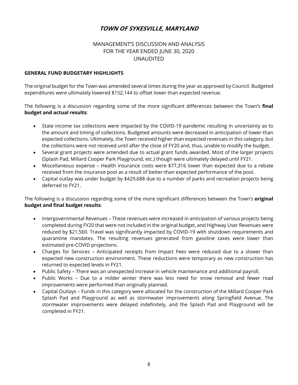## MANAGEMENT'S DISCUSSION AND ANALYSIS FOR THE YEAR ENDED JUNE 30, 2020 UNAUDITED

#### **GENERAL FUND BUDGETARY HIGHLIGHTS**

The original budget for the Town was amended several times during the year as approved by Council. Budgeted expenditures were ultimately lowered \$152,144 to offset lower than expected revenue.

The following is a discussion regarding some of the more significant differences between the Town's **final budget and actual results**:

- State income tax collections were impacted by the COVID-19 pandemic resulting in uncertainty as to the amount and timing of collections. Budgeted amounts were decreased in anticipation of lower-than expected collections. Ultimately, the Town received higher than expected revenues in this category, but the collections were not received until after the close of FY20 and, thus, unable to modify the budget.
- Several grant projects were amended due to actual grant funds awarded. Most of the larger projects (Splash Pad, Millard Cooper Park Playground, etc.) though were ultimately delayed until FY21.
- Miscellaneous expense Health insurance costs were \$77,316 lower than expected due to a rebate received from the insurance pool as a result of better-than expected performance of the pool.
- Capital outlay was under budget by \$429,688 due to a number of parks and recreation projects being deferred to FY21.

The following is a discussion regarding some of the more significant differences between the Town's **original budget and final budget results**:

- Intergovernmental Revenues These revenues were increased in anticipation of various projects being completed during FY20 that were not included in the original budget, and Highway User Revenues were reduced by \$21,560. Travel was significantly impacted by COVID-19 with shutdown requirements and quarantine mandates. The resulting revenues generated from gasoline taxes were lower than estimated pre-COVID projections.
- Charges for Services Anticipated receipts from Impact Fees were reduced due to a slower than expected new construction environment. These reductions were temporary as new construction has returned to expected levels in FY21.
- Public Safety There was an unexpected increase in vehicle maintenance and additional payroll.
- Public Works Due to a milder winter there was less need for snow removal and fewer road improvements were performed than originally planned.
- Capital Outlays Funds in this category were allocated for the construction of the Millard Cooper Park Splash Pad and Playground as well as stormwater improvements along Springfield Avenue. The stormwater improvements were delayed indefinitely, and the Splash Pad and Playground will be completed in FY21.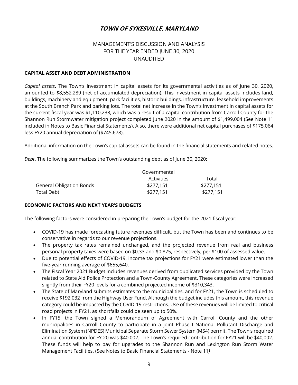## MANAGEMENT'S DISCUSSION AND ANALYSIS FOR THE YEAR ENDED JUNE 30, 2020 UNAUDITED

#### **CAPITAL ASSET AND DEBT ADMINISTRATION**

*Capital assets***.** The Town's investment in capital assets for its governmental activities as of June 30, 2020, amounted to \$8,552,289 (net of accumulated depreciation). This investment in capital assets includes land, buildings, machinery and equipment, park facilities, historic buildings, infrastructure, leasehold improvements at the South Branch Park and parking lots. The total net increase in the Town's investment in capital assets for the current fiscal year was \$1,110,238, which was a result of a capital contribution from Carroll County for the Shannon Run Stormwater mitigation project completed June 2020 in the amount of \$1,499,004 (See Note 11 included in Notes to Basic Financial Statements). Also, there were additional net capital purchases of \$175,064 less FY20 annual depreciation of (\$745,678).

Additional information on the Town's capital assets can be found in the financial statements and related notes.

*Debt***.** The following summarizes the Town's outstanding debt as of June 30, 2020:

|                                 | Governmental |           |
|---------------------------------|--------------|-----------|
|                                 | Activities   | Total     |
| <b>General Obligation Bonds</b> | \$277.151    | \$277.151 |
| <b>Total Debt</b>               | \$277 151    | \$277 151 |

#### **ECONOMIC FACTORS AND NEXT YEAR'S BUDGETS**

The following factors were considered in preparing the Town's budget for the 2021 fiscal year:

- COVID-19 has made forecasting future revenues difficult, but the Town has been and continues to be conservative in regards to our revenue projections.
- The property tax rates remained unchanged, and the projected revenue from real and business personal property taxes were based on \$0.33 and \$0.875, respectively, per \$100 of assessed value.
- Due to potential effects of COVID-19, income tax projections for FY21 were estimated lower than the five-year running average of \$655,640.
- The Fiscal Year 2021 Budget includes revenues derived from duplicated services provided by the Town related to State Aid Police Protection and a Town-County Agreement. These categories were increased slightly from their FY20 levels for a combined projected income of \$310,343.
- The State of Maryland submits estimates to the municipalities, and for FY21, the Town is scheduled to receive \$192,032 from the Highway User Fund. Although the budget includes this amount, this revenue category could be impacted by the COVID-19 restrictions. Use of these revenues will be limited to critical road projects in FY21, as shortfalls could be seen up to 50%.
- In FY15, the Town signed a Memorandum of Agreement with Carroll County and the other municipalities in Carroll County to participate in a joint Phase I National Pollutant Discharge and Elimination System (NPDES) Municipal Separate Storm Sewer System (MS4) permit. The Town's required annual contribution for FY 20 was \$40,002. The Town's required contribution for FY21 will be \$40,002. These funds will help to pay for upgrades to the Shannon Run and Lexington Run Storm Water Management Facilities. (See Notes to Basic Financial Statements - Note 11*)*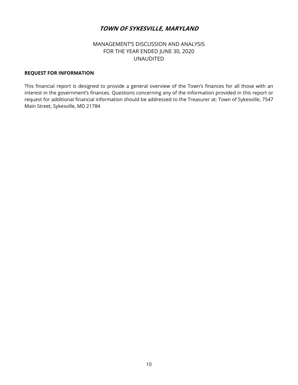## MANAGEMENT'S DISCUSSION AND ANALYSIS FOR THE YEAR ENDED JUNE 30, 2020 UNAUDITED

## **REQUEST FOR INFORMATION**

This financial report is designed to provide a general overview of the Town's finances for all those with an interest in the government's finances. Questions concerning any of the information provided in this report or request for additional financial information should be addressed to the Treasurer at: Town of Sykesville, 7547 Main Street, Sykesville, MD 21784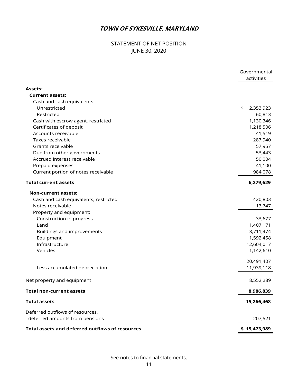## STATEMENT OF NET POSITION JUNE 30, 2020

|                                                        | Governmental<br>activities |  |
|--------------------------------------------------------|----------------------------|--|
| <b>Assets:</b>                                         |                            |  |
| <b>Current assets:</b>                                 |                            |  |
| Cash and cash equivalents:                             |                            |  |
| Unrestricted                                           | \$<br>2,353,923            |  |
| Restricted                                             | 60,813                     |  |
| Cash with escrow agent, restricted                     | 1,130,346                  |  |
| Certificates of deposit                                | 1,218,506                  |  |
| Accounts receivable                                    | 41,519                     |  |
| Taxes receivable                                       | 287,940                    |  |
| Grants receivable                                      | 57,957                     |  |
| Due from other governments                             | 53,443                     |  |
| Accrued interest receivable                            | 50,004                     |  |
| Prepaid expenses                                       | 41,100                     |  |
| Current portion of notes receivable                    | 984,078                    |  |
| <b>Total current assets</b>                            | 6,279,629                  |  |
| <b>Non-current assets:</b>                             |                            |  |
| Cash and cash equivalents, restricted                  | 420,803                    |  |
| Notes receivable                                       | 13,747                     |  |
| Property and equipment:                                |                            |  |
| Construction in progress                               | 33,677                     |  |
| Land                                                   | 1,407,171                  |  |
| Buildings and improvements                             | 3,711,474                  |  |
| Equipment                                              | 1,592,458                  |  |
| Infrastructure                                         | 12,604,017                 |  |
| Vehicles                                               | 1,142,610                  |  |
|                                                        | 20,491,407                 |  |
| Less accumulated depreciation                          | 11,939,118                 |  |
| Net property and equipment                             | 8,552,289                  |  |
| <b>Total non-current assets</b>                        | 8,986,839                  |  |
| <b>Total assets</b>                                    | 15,266,468                 |  |
| Deferred outflows of resources,                        |                            |  |
| deferred amounts from pensions                         | 207,521                    |  |
| <b>Total assets and deferred outflows of resources</b> | \$15,473,989               |  |

See notes to financial statements.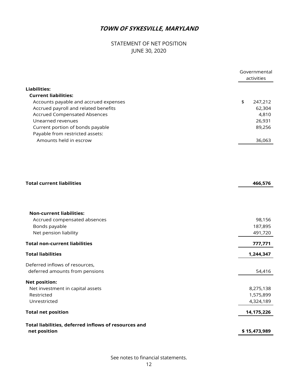## STATEMENT OF NET POSITION JUNE 30, 2020

|                                                                                                           | Governmental<br>activities   |
|-----------------------------------------------------------------------------------------------------------|------------------------------|
| <b>Liabilities:</b>                                                                                       |                              |
| <b>Current liabilities:</b>                                                                               |                              |
| Accounts payable and accrued expenses                                                                     | \$<br>247,212                |
| Accrued payroll and related benefits                                                                      | 62,304                       |
| Accrued Compensated Absences                                                                              | 4,810                        |
| Unearned revenues                                                                                         | 26,931                       |
| Current portion of bonds payable                                                                          | 89,256                       |
| Payable from restricted assets:                                                                           |                              |
| Amounts held in escrow                                                                                    | 36,063                       |
|                                                                                                           |                              |
| <b>Total current liabilities</b>                                                                          | 466,576                      |
| <b>Non-current liabilities:</b><br>Accrued compensated absences<br>Bonds payable<br>Net pension liability | 98,156<br>187,895<br>491,720 |
| <b>Total non-current liabilities</b>                                                                      | 777,771                      |
| <b>Total liabilities</b>                                                                                  | 1,244,347                    |
| Deferred inflows of resources,                                                                            |                              |
| deferred amounts from pensions                                                                            | 54,416                       |
| <b>Net position:</b>                                                                                      |                              |
| Net investment in capital assets                                                                          | 8,275,138                    |
| Restricted                                                                                                | 1,575,899                    |
| Unrestricted                                                                                              | 4,324,189                    |
| <b>Total net position</b>                                                                                 | 14,175,226                   |
| Total liabilities, deferred inflows of resources and                                                      |                              |
| net position                                                                                              | \$15,473,989                 |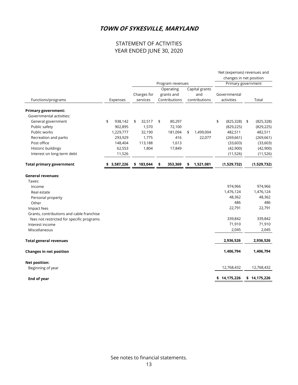## STATEMENT OF ACTIVITIES YEAR ENDED JUNE 30, 2020

|                                                        |               |                  |                         |    |                                          |                                        | Net (expenses) revenues and |     |              |
|--------------------------------------------------------|---------------|------------------|-------------------------|----|------------------------------------------|----------------------------------------|-----------------------------|-----|--------------|
|                                                        |               |                  |                         |    |                                          |                                        | changes in net position     |     |              |
|                                                        |               | Program revenues |                         |    | Primary government                       |                                        |                             |     |              |
| Functions/programs                                     | Expenses      |                  | Charges for<br>services |    | Operating<br>grants and<br>Contributions | Capital grants<br>and<br>contributions | Governmental<br>activities  |     | Total        |
| <b>Primary government:</b><br>Governmental activities: |               |                  |                         |    |                                          |                                        |                             |     |              |
| General government                                     | \$<br>938,142 | \$               | 32,517                  | \$ | 80,297                                   |                                        | \$<br>(825, 328)            | -\$ | (825, 328)   |
| Public safety                                          | 902,895       |                  | 1,570                   |    | 72,100                                   |                                        | (829, 225)                  |     | (829, 225)   |
| Public works                                           | 1,229,777     |                  | 32,190                  |    | 181,094                                  | \$<br>1,499,004                        | 482,511                     |     | 482,511      |
| Recreation and parks                                   | 293,929       |                  | 1,775                   |    | 416                                      | 22,077                                 | (269, 661)                  |     | (269, 661)   |
| Post office                                            | 148,404       |                  | 113,188                 |    | 1,613                                    |                                        | (33,603)                    |     | (33, 603)    |
| Historic buildings                                     | 62,553        |                  | 1,804                   |    | 17,849                                   |                                        | (42,900)                    |     | (42,900)     |
| Interest on long-term debt                             | 11,526        |                  |                         |    |                                          |                                        | (11, 526)                   |     | (11, 526)    |
| <b>Total primary government</b>                        | \$ 3,587,226  |                  | \$183,044               | \$ | 353,369                                  | \$<br>1,521,081                        | (1,529,732)                 |     | (1,529,732)  |
| <b>General revenues:</b>                               |               |                  |                         |    |                                          |                                        |                             |     |              |
| Taxes:                                                 |               |                  |                         |    |                                          |                                        |                             |     |              |
| Income                                                 |               |                  |                         |    |                                          |                                        | 974,966                     |     | 974,966      |
| Real estate                                            |               |                  |                         |    |                                          |                                        | 1,476,124                   |     | 1,476,124    |
| Personal property                                      |               |                  |                         |    |                                          |                                        | 48,362                      |     | 48,362       |
| Other                                                  |               |                  |                         |    |                                          |                                        | 486                         |     | 486          |
| Impact fees                                            |               |                  |                         |    |                                          |                                        | 22,791                      |     | 22,791       |
| Grants, contributions and cable franchise              |               |                  |                         |    |                                          |                                        |                             |     |              |
| fees not restricted for specific programs              |               |                  |                         |    |                                          |                                        | 339,842                     |     | 339,842      |
| Interest income                                        |               |                  |                         |    |                                          |                                        | 71,910                      |     | 71,910       |
| Miscellaneous                                          |               |                  |                         |    |                                          |                                        | 2,045                       |     | 2,045        |
| <b>Total general revenues</b>                          |               |                  |                         |    |                                          |                                        | 2,936,526                   |     | 2,936,526    |
| <b>Changes in net position</b>                         |               |                  |                         |    |                                          |                                        | 1,406,794                   |     | 1,406,794    |
| Net position:                                          |               |                  |                         |    |                                          |                                        |                             |     |              |
| Beginning of year                                      |               |                  |                         |    |                                          |                                        | 12,768,432                  |     | 12,768,432   |
| <b>End of year</b>                                     |               |                  |                         |    |                                          |                                        | \$14,175,226                |     | \$14,175,226 |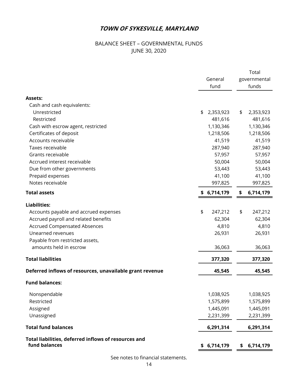## BALANCE SHEET – GOVERNMENTAL FUNDS JUNE 30, 2020

|                                                          | General     | Total<br>governmental |  |  |
|----------------------------------------------------------|-------------|-----------------------|--|--|
|                                                          | fund        | funds                 |  |  |
| <b>Assets:</b>                                           |             |                       |  |  |
| Cash and cash equivalents:                               |             |                       |  |  |
| Unrestricted<br>\$                                       | 2,353,923   | \$<br>2,353,923       |  |  |
| Restricted                                               | 481,616     | 481,616               |  |  |
| Cash with escrow agent, restricted                       | 1,130,346   | 1,130,346             |  |  |
| Certificates of deposit                                  | 1,218,506   | 1,218,506             |  |  |
| Accounts receivable                                      | 41,519      | 41,519                |  |  |
| Taxes receivable                                         | 287,940     | 287,940               |  |  |
| Grants receivable                                        | 57,957      | 57,957                |  |  |
| Accrued interest receivable                              | 50,004      | 50,004                |  |  |
| Due from other governments                               | 53,443      | 53,443                |  |  |
| Prepaid expenses                                         | 41,100      | 41,100                |  |  |
| Notes receivable                                         | 997,825     | 997,825               |  |  |
| <b>Total assets</b>                                      | \$6,714,179 | \$<br>6,714,179       |  |  |
| <b>Liabilities:</b>                                      |             |                       |  |  |
| \$<br>Accounts payable and accrued expenses              | 247,212     | \$<br>247,212         |  |  |
| Accrued payroll and related benefits                     | 62,304      | 62,304                |  |  |
| <b>Accrued Compensated Absences</b>                      | 4,810       | 4,810                 |  |  |
| Unearned revenues                                        | 26,931      | 26,931                |  |  |
| Payable from restricted assets,                          |             |                       |  |  |
| amounts held in escrow                                   | 36,063      | 36,063                |  |  |
| <b>Total liabilities</b>                                 | 377,320     | 377,320               |  |  |
| Deferred inflows of resources, unavailable grant revenue | 45,545      | 45,545                |  |  |
| <b>Fund balances:</b>                                    |             |                       |  |  |
| Nonspendable                                             | 1,038,925   | 1,038,925             |  |  |
| Restricted                                               | 1,575,899   | 1,575,899             |  |  |
| Assigned                                                 | 1,445,091   | 1,445,091             |  |  |
| Unassigned                                               | 2,231,399   | 2,231,399             |  |  |
| <b>Total fund balances</b>                               | 6,291,314   | 6,291,314             |  |  |
| Total liabilities, deferred inflows of resources and     |             |                       |  |  |
| fund balances                                            | \$6,714,179 | \$6,714,179           |  |  |

See notes to financial statements.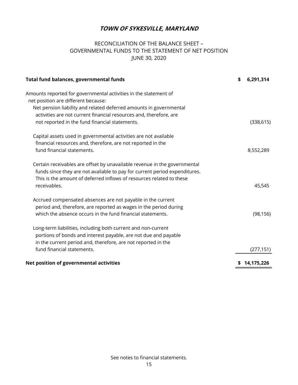## RECONCILIATION OF THE BALANCE SHEET – GOVERNMENTAL FUNDS TO THE STATEMENT OF NET POSITION JUNE 30, 2020

| Total fund balances, governmental funds                                                                 | \$<br>6,291,314 |
|---------------------------------------------------------------------------------------------------------|-----------------|
| Amounts reported for governmental activities in the statement of<br>net position are different because: |                 |
| Net pension liability and related deferred amounts in governmental                                      |                 |
| activities are not current financial resources and, therefore, are                                      |                 |
| not reported in the fund financial statements.                                                          | (338, 615)      |
| Capital assets used in governmental activities are not available                                        |                 |
| financial resources and, therefore, are not reported in the                                             |                 |
| fund financial statements.                                                                              | 8,552,289       |
| Certain receivables are offset by unavailable revenue in the governmental                               |                 |
| funds since they are not available to pay for current period expenditures.                              |                 |
| This is the amount of deferred inflows of resources related to these                                    |                 |
| receivables.                                                                                            | 45,545          |
| Accrued compensated absences are not payable in the current                                             |                 |
| period and, therefore, are reported as wages in the period during                                       |                 |
| which the absence occurs in the fund financial statements.                                              | (98, 156)       |
| Long-term liabilities, including both current and non-current                                           |                 |
| portions of bonds and interest payable, are not due and payable                                         |                 |
| in the current period and, therefore, are not reported in the                                           |                 |
| fund financial statements.                                                                              | (277, 151)      |
| Net position of governmental activities                                                                 | \$14,175,226    |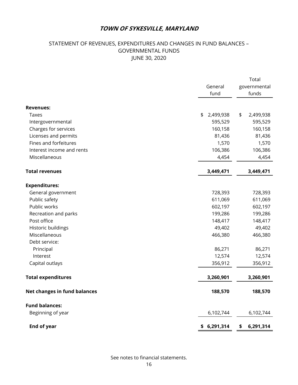## STATEMENT OF REVENUES, EXPENDITURES AND CHANGES IN FUND BALANCES – GOVERNMENTAL FUNDS JUNE 30, 2020

|                              | General<br>fund | Total<br>governmental<br>funds |
|------------------------------|-----------------|--------------------------------|
| <b>Revenues:</b>             |                 |                                |
| Taxes                        | 2,499,938<br>\$ | \$<br>2,499,938                |
| Intergovernmental            | 595,529         | 595,529                        |
| Charges for services         | 160,158         | 160,158                        |
| Licenses and permits         | 81,436          | 81,436                         |
| Fines and forfeitures        | 1,570           | 1,570                          |
| Interest income and rents    | 106,386         | 106,386                        |
| Miscellaneous                | 4,454           | 4,454                          |
| <b>Total revenues</b>        | 3,449,471       | 3,449,471                      |
| <b>Expenditures:</b>         |                 |                                |
| General government           | 728,393         | 728,393                        |
| Public safety                | 611,069         | 611,069                        |
| Public works                 | 602,197         | 602,197                        |
| Recreation and parks         | 199,286         | 199,286                        |
| Post office                  | 148,417         | 148,417                        |
| Historic buildings           | 49,402          | 49,402                         |
| Miscellaneous                | 466,380         | 466,380                        |
| Debt service:                |                 |                                |
| Principal                    | 86,271          | 86,271                         |
| Interest                     | 12,574          | 12,574                         |
| Capital outlays              | 356,912         | 356,912                        |
| <b>Total expenditures</b>    | 3,260,901       | 3,260,901                      |
| Net changes in fund balances | 188,570         | 188,570                        |
| <b>Fund balances:</b>        |                 |                                |
| Beginning of year            | 6,102,744       | 6,102,744                      |
| <b>End of year</b>           | 6,291,314<br>\$ | 6,291,314<br>\$                |

See notes to financial statements.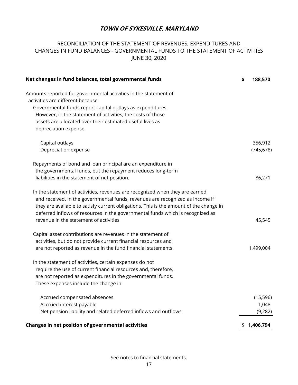## RECONCILIATION OF THE STATEMENT OF REVENUES, EXPENDITURES AND CHANGES IN FUND BALANCES - GOVERNMENTAL FUNDS TO THE STATEMENT OF ACTIVITIES JUNE 30, 2020

| Net changes in fund balances, total governmental funds                                 | \$<br>188,570 |
|----------------------------------------------------------------------------------------|---------------|
| Amounts reported for governmental activities in the statement of                       |               |
| activities are different because:                                                      |               |
| Governmental funds report capital outlays as expenditures.                             |               |
| However, in the statement of activities, the costs of those                            |               |
| assets are allocated over their estimated useful lives as                              |               |
| depreciation expense.                                                                  |               |
| Capital outlays                                                                        | 356,912       |
| Depreciation expense                                                                   | (745, 678)    |
| Repayments of bond and loan principal are an expenditure in                            |               |
| the governmental funds, but the repayment reduces long-term                            |               |
| liabilities in the statement of net position.                                          | 86,271        |
| In the statement of activities, revenues are recognized when they are earned           |               |
| and received. In the governmental funds, revenues are recognized as income if          |               |
| they are available to satisfy current obligations. This is the amount of the change in |               |
| deferred inflows of resources in the governmental funds which is recognized as         |               |
| revenue in the statement of activities                                                 | 45,545        |
| Capital asset contributions are revenues in the statement of                           |               |
| activities, but do not provide current financial resources and                         |               |
| are not reported as revenue in the fund financial statements.                          | 1,499,004     |
| In the statement of activities, certain expenses do not                                |               |
| require the use of current financial resources and, therefore,                         |               |
| are not reported as expenditures in the governmental funds.                            |               |
| These expenses include the change in:                                                  |               |
| Accrued compensated absences                                                           | (15, 596)     |
| Accrued interest payable                                                               | 1,048         |
| Net pension liability and related deferred inflows and outflows                        | (9, 282)      |
| Changes in net position of governmental activities                                     | \$1,406,794   |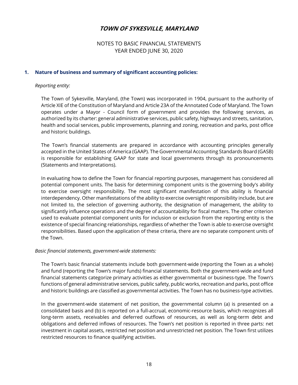## NOTES TO BASIC FINANCIAL STATEMENTS YEAR ENDED JUNE 30, 2020

#### **1. Nature of business and summary of significant accounting policies:**

#### *Reporting entity:*

The Town of Sykesville, Maryland, (the Town) was incorporated in 1904, pursuant to the authority of Article XIE of the Constitution of Maryland and Article 23A of the Annotated Code of Maryland. The Town operates under a Mayor - Council form of government and provides the following services, as authorized by its charter: general administrative services, public safety, highways and streets, sanitation, health and social services, public improvements, planning and zoning, recreation and parks, post office and historic buildings.

The Town's financial statements are prepared in accordance with accounting principles generally accepted in the United States of America (GAAP). The Governmental Accounting Standards Board (GASB) is responsible for establishing GAAP for state and local governments through its pronouncements (Statements and Interpretations).

In evaluating how to define the Town for financial reporting purposes, management has considered all potential component units. The basis for determining component units is the governing body's ability to exercise oversight responsibility. The most significant manifestation of this ability is financial interdependency. Other manifestations of the ability to exercise oversight responsibility include, but are not limited to, the selection of governing authority, the designation of management, the ability to significantly influence operations and the degree of accountability for fiscal matters. The other criterion used to evaluate potential component units for inclusion or exclusion from the reporting entity is the existence of special financing relationships, regardless of whether the Town is able to exercise oversight responsibilities. Based upon the application of these criteria, there are no separate component units of the Town.

#### *Basic financial statements, government-wide statements:*

The Town's basic financial statements include both government-wide (reporting the Town as a whole) and fund (reporting the Town's major funds) financial statements. Both the government-wide and fund financial statements categorize primary activities as either governmental or business-type. The Town's functions of general administrative services, public safety, public works, recreation and parks, post office and historic buildings are classified as governmental activities. The Town has no business-type activities.

In the government-wide statement of net position, the governmental column (a) is presented on a consolidated basis and (b) is reported on a full-accrual, economic-resource basis, which recognizes all long-term assets, receivables and deferred outflows of resources, as well as long-term debt and obligations and deferred inflows of resources. The Town's net position is reported in three parts: net investment in capital assets, restricted net position and unrestricted net position. The Town first utilizes restricted resources to finance qualifying activities.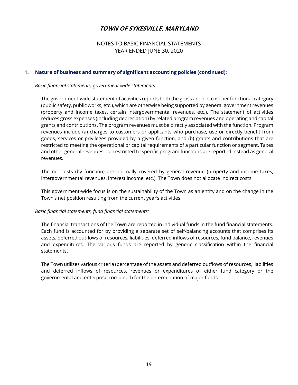## NOTES TO BASIC FINANCIAL STATEMENTS YEAR ENDED JUNE 30, 2020

#### **1. Nature of business and summary of significant accounting policies (continued):**

 *Basic financial statements, government-wide statements:* 

The government-wide statement of activities reports both the gross and net cost per functional category (public safety, public works, etc.), which are otherwise being supported by general government revenues (property and income taxes, certain intergovernmental revenues, etc.). The statement of activities reduces gross expenses (including depreciation) by related program revenues and operating and capital grants and contributions. The program revenues must be directly associated with the function. Program revenues include (a) charges to customers or applicants who purchase, use or directly benefit from goods, services or privileges provided by a given function, and (b) grants and contributions that are restricted to meeting the operational or capital requirements of a particular function or segment. Taxes and other general revenues not restricted to specific program functions are reported instead as general revenues.

The net costs (by function) are normally covered by general revenue (property and income taxes, intergovernmental revenues, interest income, etc.). The Town does not allocate indirect costs.

This government-wide focus is on the sustainability of the Town as an entity and on the change in the Town's net position resulting from the current year's activities.

#### *Basic financial statements, fund financial statements:*

The financial transactions of the Town are reported in individual funds in the fund financial statements. Each fund is accounted for by providing a separate set of self-balancing accounts that comprises its assets, deferred outflows of resources, liabilities, deferred inflows of resources, fund balance, revenues and expenditures. The various funds are reported by generic classification within the financial statements.

The Town utilizes various criteria (percentage of the assets and deferred outflows of resources, liabilities and deferred inflows of resources, revenues or expenditures of either fund category or the governmental and enterprise combined) for the determination of major funds.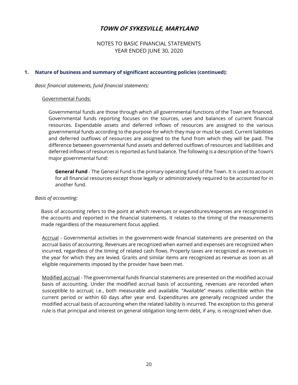## NOTES TO BASIC FINANCIAL STATEMENTS YEAR ENDED JUNE 30, 2020

#### **1. Nature of business and summary of significant accounting policies (continued):**

 *Basic financial statements, fund financial statements:* 

#### Governmental Funds:

Governmental funds are those through which all governmental functions of the Town are financed. Governmental funds reporting focuses on the sources, uses and balances of current financial resources. Expendable assets and deferred inflows of resources are assigned to the various governmental funds according to the purpose for which they may or must be used. Current liabilities and deferred outflows of resources are assigned to the fund from which they will be paid. The difference between governmental fund assets and deferred outflows of resources and liabilities and deferred inflows of resources is reported as fund balance. The following is a description of the Town's major governmental fund:

**General Fund** - The General Fund is the primary operating fund of the Town. It is used to account for all financial resources except those legally or administratively required to be accounted for in another fund.

#### *Basis of accounting:*

Basis of accounting refers to the point at which revenues or expenditures/expenses are recognized in the accounts and reported in the financial statements. It relates to the timing of the measurements made regardless of the measurement focus applied.

Accrual - Governmental activities in the government-wide financial statements are presented on the accrual basis of accounting. Revenues are recognized when earned and expenses are recognized when incurred, regardless of the timing of related cash flows. Property taxes are recognized as revenues in the year for which they are levied. Grants and similar items are recognized as revenue as soon as all eligible requirements imposed by the provider have been met.

Modified accrual - The governmental funds financial statements are presented on the modified accrual basis of accounting. Under the modified accrual basis of accounting, revenues are recorded when susceptible to accrual; i.e., both measurable and available. "Available" means collectible within the current period or within 60 days after year end. Expenditures are generally recognized under the modified accrual basis of accounting when the related liability is incurred. The exception to this general rule is that principal and interest on general obligation long-term debt, if any, is recognized when due.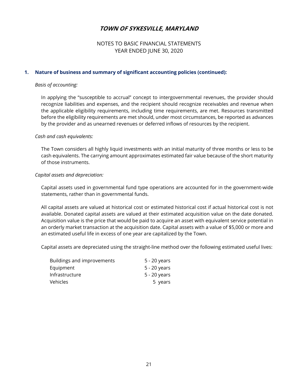## NOTES TO BASIC FINANCIAL STATEMENTS YEAR ENDED JUNE 30, 2020

#### **1. Nature of business and summary of significant accounting policies (continued):**

#### *Basis of accounting:*

In applying the "susceptible to accrual" concept to intergovernmental revenues, the provider should recognize liabilities and expenses, and the recipient should recognize receivables and revenue when the applicable eligibility requirements, including time requirements, are met. Resources transmitted before the eligibility requirements are met should, under most circumstances, be reported as advances by the provider and as unearned revenues or deferred inflows of resources by the recipient.

#### *Cash and cash equivalents:*

The Town considers all highly liquid investments with an initial maturity of three months or less to be cash equivalents. The carrying amount approximates estimated fair value because of the short maturity of those instruments.

#### *Capital assets and depreciation:*

Capital assets used in governmental fund type operations are accounted for in the government-wide statements, rather than in governmental funds.

All capital assets are valued at historical cost or estimated historical cost if actual historical cost is not available. Donated capital assets are valued at their estimated acquisition value on the date donated. Acquisition value is the price that would be paid to acquire an asset with equivalent service potential in an orderly market transaction at the acquisition date. Capital assets with a value of \$5,000 or more and an estimated useful life in excess of one year are capitalized by the Town.

Capital assets are depreciated using the straight-line method over the following estimated useful lives:

| Buildings and improvements | 5 - 20 years |
|----------------------------|--------------|
| Equipment                  | 5 - 20 years |
| Infrastructure             | 5 - 20 years |
| Vehicles                   | 5 years      |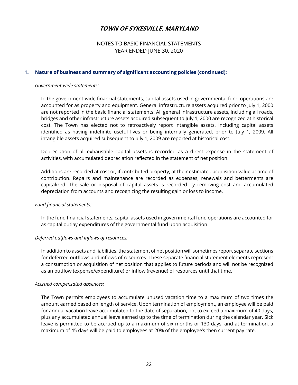## NOTES TO BASIC FINANCIAL STATEMENTS YEAR ENDED JUNE 30, 2020

#### **1. Nature of business and summary of significant accounting policies (continued):**

#### *Government-wide statements:*

In the government-wide financial statements, capital assets used in governmental fund operations are accounted for as property and equipment. General infrastructure assets acquired prior to July 1, 2000 are not reported in the basic financial statements. All general infrastructure assets, including all roads, bridges and other infrastructure assets acquired subsequent to July 1, 2000 are recognized at historical cost. The Town has elected not to retroactively report intangible assets, including capital assets identified as having indefinite useful lives or being internally generated, prior to July 1, 2009. All intangible assets acquired subsequent to July 1, 2009 are reported at historical cost.

Depreciation of all exhaustible capital assets is recorded as a direct expense in the statement of activities, with accumulated depreciation reflected in the statement of net position.

Additions are recorded at cost or, if contributed property, at their estimated acquisition value at time of contribution. Repairs and maintenance are recorded as expenses; renewals and betterments are capitalized. The sale or disposal of capital assets is recorded by removing cost and accumulated depreciation from accounts and recognizing the resulting gain or loss to income.

#### *Fund financial statements:*

In the fund financial statements, capital assets used in governmental fund operations are accounted for as capital outlay expenditures of the governmental fund upon acquisition.

#### *Deferred outflows and inflows of resources:*

In addition to assets and liabilities, the statement of net position will sometimes report separate sections for deferred outflows and inflows of resources. These separate financial statement elements represent a consumption or acquisition of net position that applies to future periods and will not be recognized as an outflow (expense/expenditure) or inflow (revenue) of resources until that time.

#### *Accrued compensated absences:*

The Town permits employees to accumulate unused vacation time to a maximum of two times the amount earned based on length of service. Upon termination of employment, an employee will be paid for annual vacation leave accumulated to the date of separation, not to exceed a maximum of 40 days, plus any accumulated annual leave earned up to the time of termination during the calendar year. Sick leave is permitted to be accrued up to a maximum of six months or 130 days, and at termination, a maximum of 45 days will be paid to employees at 20% of the employee's then current pay rate.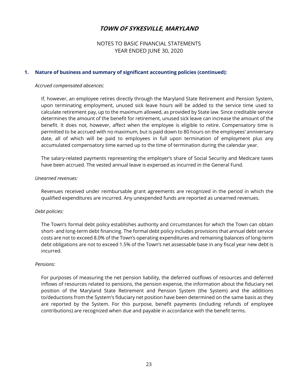## NOTES TO BASIC FINANCIAL STATEMENTS YEAR ENDED JUNE 30, 2020

#### **1. Nature of business and summary of significant accounting policies (continued):**

#### *Accrued compensated absences:*

If, however, an employee retires directly through the Maryland State Retirement and Pension System, upon terminating employment, unused sick leave hours will be added to the service time used to calculate retirement pay, up to the maximum allowed, as provided by State law. Since creditable service determines the amount of the benefit for retirement, unused sick leave can increase the amount of the benefit. It does not, however, affect when the employee is eligible to retire. Compensatory time is permitted to be accrued with no maximum, but is paid down to 80 hours on the employees' anniversary date, all of which will be paid to employees in full upon termination of employment plus any accumulated compensatory time earned up to the time of termination during the calendar year.

The salary-related payments representing the employer's share of Social Security and Medicare taxes have been accrued. The vested annual leave is expensed as incurred in the General Fund.

#### *Unearned revenues:*

Revenues received under reimbursable grant agreements are recognized in the period in which the qualified expenditures are incurred. Any unexpended funds are reported as unearned revenues.

#### *Debt policies:*

The Town's formal debt policy establishes authority and circumstances for which the Town can obtain short- and long-term debt financing. The formal debt policy includes provisions that annual debt service costs are not to exceed 8.0% of the Town's operating expenditures and remaining balances of long-term debt obligations are not to exceed 1.5% of the Town's net assessable base in any fiscal year new debt is incurred.

#### *Pensions:*

For purposes of measuring the net pension liability, the deferred outflows of resources and deferred inflows of resources related to pensions, the pension expense, the information about the fiduciary net position of the Maryland State Retirement and Pension System (the System) and the additions to/deductions from the System's fiduciary net position have been determined on the same basis as they are reported by the System. For this purpose, benefit payments (including refunds of employee contributions) are recognized when due and payable in accordance with the benefit terms.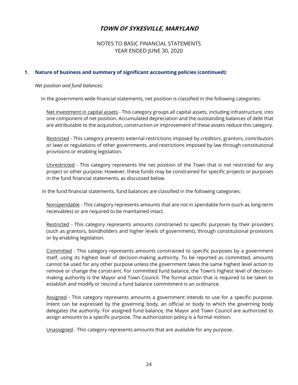## NOTES TO BASIC FINANCIAL STATEMENTS YEAR ENDED JUNE 30, 2020

#### **1. Nature of business and summary of significant accounting policies (continued):**

#### *Net position and fund balances:*

In the government-wide financial statements, net position is classified in the following categories:

Net investment in capital assets - This category groups all capital assets, including infrastructure, into one component of net position. Accumulated depreciation and the outstanding balances of debt that are attributable to the acquisition, construction or improvement of these assets reduce this category.

Restricted - This category presents external restrictions imposed by creditors, grantors, contributors or laws or regulations of other governments, and restrictions imposed by law through constitutional provisions or enabling legislation.

Unrestricted - This category represents the net position of the Town that is not restricted for any project or other purpose. However, these funds may be constrained for specific projects or purposes in the fund financial statements, as discussed below.

In the fund financial statements, fund balances are classified in the following categories:

Nonspendable - This category represents amounts that are not in spendable form (such as long-term receivables) or are required to be maintained intact.

Restricted - This category represents amounts constrained to specific purposes by their providers (such as grantors, bondholders and higher levels of government), through constitutional provisions or by enabling legislation.

Committed - This category represents amounts constrained to specific purposes by a government itself, using its highest level of decision-making authority. To be reported as committed, amounts cannot be used for any other purpose unless the government takes the same highest level action to remove or change the constraint. For committed fund balance, the Town's highest level of decisionmaking authority is the Mayor and Town Council. The formal action that is required to be taken to establish and modify or rescind a fund balance commitment is an ordinance.

Assigned - This category represents amounts a government intends to use for a specific purpose. Intent can be expressed by the governing body, an official or body to which the governing body delegates the authority. For assigned fund balance, the Mayor and Town Council are authorized to assign amounts to a specific purpose. The authorization policy is a formal motion.

Unassigned - This category represents amounts that are available for any purpose.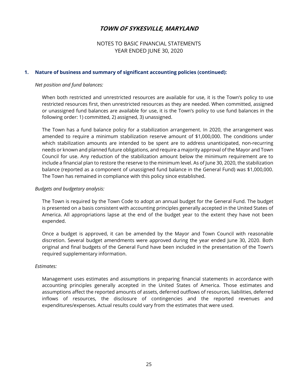## NOTES TO BASIC FINANCIAL STATEMENTS YEAR ENDED JUNE 30, 2020

#### **1. Nature of business and summary of significant accounting policies (continued):**

#### *Net position and fund balances:*

When both restricted and unrestricted resources are available for use, it is the Town's policy to use restricted resources first, then unrestricted resources as they are needed. When committed, assigned or unassigned fund balances are available for use, it is the Town's policy to use fund balances in the following order: 1) committed, 2) assigned, 3) unassigned.

The Town has a fund balance policy for a stabilization arrangement. In 2020, the arrangement was amended to require a minimum stabilization reserve amount of \$1,000,000. The conditions under which stabilization amounts are intended to be spent are to address unanticipated, non-recurring needs or known and planned future obligations, and require a majority approval of the Mayor and Town Council for use. Any reduction of the stabilization amount below the minimum requirement are to include a financial plan to restore the reserve to the minimum level. As of June 30, 2020, the stabilization balance (reported as a component of unassigned fund balance in the General Fund) was \$1,000,000. The Town has remained in compliance with this policy since established.

#### *Budgets and budgetary analysis:*

The Town is required by the Town Code to adopt an annual budget for the General Fund. The budget is presented on a basis consistent with accounting principles generally accepted in the United States of America. All appropriations lapse at the end of the budget year to the extent they have not been expended.

Once a budget is approved, it can be amended by the Mayor and Town Council with reasonable discretion. Several budget amendments were approved during the year ended June 30, 2020. Both original and final budgets of the General Fund have been included in the presentation of the Town's required supplementary information.

#### *Estimates:*

Management uses estimates and assumptions in preparing financial statements in accordance with accounting principles generally accepted in the United States of America. Those estimates and assumptions affect the reported amounts of assets, deferred outflows of resources, liabilities, deferred inflows of resources, the disclosure of contingencies and the reported revenues and expenditures/expenses. Actual results could vary from the estimates that were used.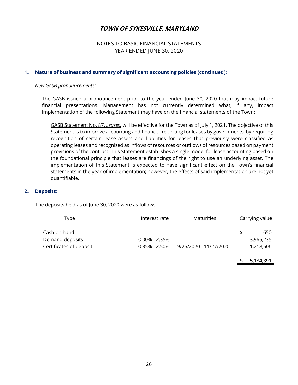## NOTES TO BASIC FINANCIAL STATEMENTS YEAR ENDED JUNE 30, 2020

#### **1. Nature of business and summary of significant accounting policies (continued):**

#### *New GASB pronouncements:*

The GASB issued a pronouncement prior to the year ended June 30, 2020 that may impact future financial presentations. Management has not currently determined what, if any, impact implementation of the following Statement may have on the financial statements of the Town:

GASB Statement No. 87, *Leases*, will be effective for the Town as of July 1, 2021. The objective of this Statement is to improve accounting and financial reporting for leases by governments, by requiring recognition of certain lease assets and liabilities for leases that previously were classified as operating leases and recognized as inflows of resources or outflows of resources based on payment provisions of the contract. This Statement establishes a single model for lease accounting based on the foundational principle that leases are financings of the right to use an underlying asset. The implementation of this Statement is expected to have significant effect on the Town's financial statements in the year of implementation; however, the effects of said implementation are not yet quantifiable.

#### **2. Deposits:**

The deposits held as of June 30, 2020 were as follows:

| Type                    | Interest rate     | <b>Maturities</b>      | Carrying value |
|-------------------------|-------------------|------------------------|----------------|
|                         |                   |                        |                |
| Cash on hand            |                   |                        | 650            |
| Demand deposits         | $0.00\% - 2.35\%$ |                        | 3,965,235      |
| Certificates of deposit | $0.35\%$ - 2.50%  | 9/25/2020 - 11/27/2020 | 1,218,506      |
|                         |                   |                        |                |

\$ 5,184,391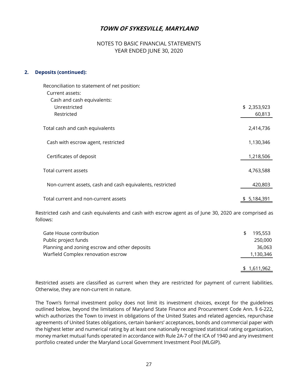## NOTES TO BASIC FINANCIAL STATEMENTS YEAR ENDED JUNE 30, 2020

#### **2. Deposits (continued):**

| Reconciliation to statement of net position:              |              |
|-----------------------------------------------------------|--------------|
| Current assets:                                           |              |
| Cash and cash equivalents:                                |              |
| Unrestricted                                              | \$2,353,923  |
| Restricted                                                | 60,813       |
|                                                           |              |
| Total cash and cash equivalents                           | 2,414,736    |
|                                                           |              |
| Cash with escrow agent, restricted                        | 1,130,346    |
|                                                           |              |
| Certificates of deposit                                   | 1,218,506    |
|                                                           |              |
| Total current assets                                      | 4,763,588    |
|                                                           |              |
| Non-current assets, cash and cash equivalents, restricted | 420,803      |
| Total current and non-current assets                      |              |
|                                                           | \$ 5,184,391 |

Restricted cash and cash equivalents and cash with escrow agent as of June 30, 2020 are comprised as follows:

| Gate House contribution                       | S. | 195,553   |
|-----------------------------------------------|----|-----------|
| Public project funds                          |    | 250,000   |
| Planning and zoning escrow and other deposits |    | 36.063    |
| Warfield Complex renovation escrow            |    | 1,130,346 |
|                                               |    |           |

#### \$ 1,611,962

Restricted assets are classified as current when they are restricted for payment of current liabilities. Otherwise, they are non-current in nature.

The Town's formal investment policy does not limit its investment choices, except for the guidelines outlined below, beyond the limitations of Maryland State Finance and Procurement Code Ann. § 6-222, which authorizes the Town to invest in obligations of the United States and related agencies, repurchase agreements of United States obligations, certain bankers' acceptances, bonds and commercial paper with the highest letter and numerical rating by at least one nationally recognized statistical rating organization, money market mutual funds operated in accordance with Rule 2A-7 of the ICA of 1940 and any investment portfolio created under the Maryland Local Government Investment Pool (MLGIP).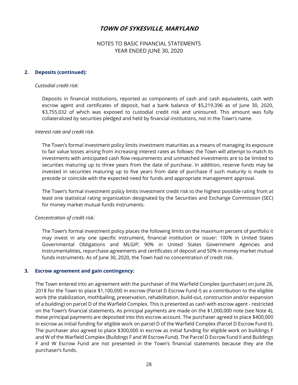## NOTES TO BASIC FINANCIAL STATEMENTS YEAR ENDED JUNE 30, 2020

#### **2. Deposits (continued):**

#### *Custodial credit risk:*

Deposits in financial institutions, reported as components of cash and cash equivalents, cash with escrow agent and certificates of deposit, had a bank balance of \$5,219,396 as of June 30, 2020, \$3,755,032 of which was exposed to custodial credit risk and uninsured. This amount was fully collateralized by securities pledged and held by financial institutions, not in the Town's name.

#### *Interest rate and credit risk:*

The Town's formal investment policy limits investment maturities as a means of managing its exposure to fair value losses arising from increasing interest rates as follows: the Town will attempt to match its investments with anticipated cash flow requirements and unmatched investments are to be limited to securities maturing up to three years from the date of purchase. In addition, reserve funds may be invested in securities maturing up to five years from date of purchase if such maturity is made to precede or coincide with the expected need for funds and appropriate management approval.

The Town's formal investment policy limits investment credit risk to the highest possible rating from at least one statistical rating organization designated by the Securities and Exchange Commission (SEC) for money market mutual funds instruments.

#### *Concentration of credit risk:*

The Town's formal investment policy places the following limits on the maximum percent of portfolio it may invest in any one specific instrument, financial institution or issuer: 100% in United States Governmental Obligations and MLGIP; 90% in United States Government Agencies and Instrumentalities, repurchase agreements and certificates of deposit and 50% in money market mutual funds instruments. As of June 30, 2020, the Town had no concentration of credit risk.

#### **3. Escrow agreement and gain contingency:**

The Town entered into an agreement with the purchaser of the Warfield Complex (purchaser) on June 26, 2018 for the Town to place \$1,100,000 in escrow (Parcel D Escrow Fund I) as a contribution to the eligible work (the stabilization, mothballing, preservation, rehabilitation, build-out, construction and/or expansion of a building) on parcel D of the Warfield Complex. This is presented as cash with escrow agent - restricted on the Town's financial statements. As principal payments are made on the \$1,000,000 note (see Note 4), these principal payments are deposited into this escrow account. The purchaser agreed to place \$400,000 in escrow as initial funding for eligible work on parcel D of the Warfield Complex (Parcel D Escrow Fund II). The purchaser also agreed to place \$300,000 in escrow as initial funding for eligible work on buildings F and W of the Warfield Complex (Buildings F and W Escrow Fund). The Parcel D Escrow Fund II and Buildings F and W Escrow Fund are not presented in the Town's financial statements because they are the purchaser's funds.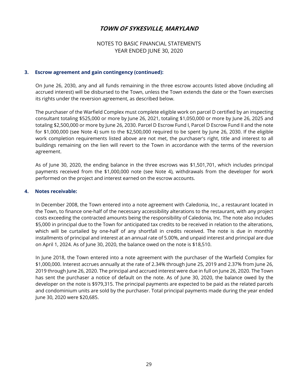## NOTES TO BASIC FINANCIAL STATEMENTS YEAR ENDED JUNE 30, 2020

#### **3. Escrow agreement and gain contingency (continued):**

On June 26, 2030, any and all funds remaining in the three escrow accounts listed above (including all accrued interest) will be disbursed to the Town, unless the Town extends the date or the Town exercises its rights under the reversion agreement, as described below.

The purchaser of the Warfield Complex must complete eligible work on parcel D certified by an inspecting consultant totaling \$525,000 or more by June 26, 2021, totaling \$1,050,000 or more by June 26, 2025 and totaling \$2,500,000 or more by June 26, 2030. Parcel D Escrow Fund I, Parcel D Escrow Fund II and the note for \$1,000,000 (see Note 4) sum to the \$2,500,000 required to be spent by June 26, 2030. If the eligible work completion requirements listed above are not met, the purchaser's right, title and interest to all buildings remaining on the lien will revert to the Town in accordance with the terms of the reversion agreement.

As of June 30, 2020, the ending balance in the three escrows was \$1,501,701, which includes principal payments received from the \$1,000,000 note (see Note 4), withdrawals from the developer for work performed on the project and interest earned on the escrow accounts.

#### **4. Notes receivable:**

In December 2008, the Town entered into a note agreement with Caledonia, Inc., a restaurant located in the Town, to finance one-half of the necessary accessibility alterations to the restaurant, with any project costs exceeding the contracted amounts being the responsibility of Caledonia, Inc. The note also includes \$5,000 in principal due to the Town for anticipated tax credits to be received in relation to the alterations, which will be curtailed by one-half of any shortfall in credits received. The note is due in monthly installments of principal and interest at an annual rate of 5.00%, and unpaid interest and principal are due on April 1, 2024. As of June 30, 2020, the balance owed on the note is \$18,510.

In June 2018, the Town entered into a note agreement with the purchaser of the Warfield Complex for \$1,000,000. Interest accrues annually at the rate of 2.34% through June 25, 2019 and 2.37% from June 26, 2019 through June 26, 2020. The principal and accrued interest were due in full on June 26, 2020. The Town has sent the purchaser a notice of default on the note. As of June 30, 2020, the balance owed by the developer on the note is \$979,315. The principal payments are expected to be paid as the related parcels and condominium units are sold by the purchaser. Total principal payments made during the year ended June 30, 2020 were \$20,685.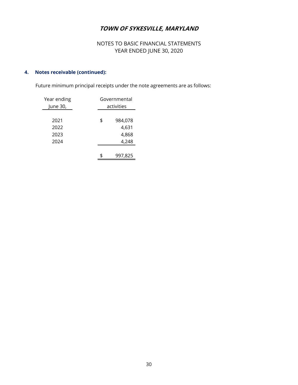## NOTES TO BASIC FINANCIAL STATEMENTS YEAR ENDED JUNE 30, 2020

## **4. Notes receivable (continued):**

Future minimum principal receipts under the note agreements are as follows:

| Year ending | Governmental  |
|-------------|---------------|
| June 30,    | activities    |
|             |               |
| 2021        | 984,078<br>\$ |
| 2022        | 4,631         |
| 2023        | 4,868         |
| 2024        | 4,248         |
|             |               |
|             | 997,825       |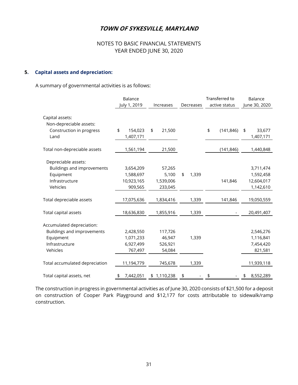## NOTES TO BASIC FINANCIAL STATEMENTS YEAR ENDED JUNE 30, 2020

#### **5. Capital assets and depreciation:**

A summary of governmental activities is as follows:

|                                                                                                    | <b>Balance</b>                                  |                                         |                            | Transferred to   | <b>Balance</b>                                    |
|----------------------------------------------------------------------------------------------------|-------------------------------------------------|-----------------------------------------|----------------------------|------------------|---------------------------------------------------|
|                                                                                                    | July 1, 2019                                    | Increases                               | active status<br>Decreases |                  | June 30, 2020                                     |
| Capital assets:<br>Non-depreciable assets:<br>Construction in progress<br>Land                     | 154,023<br>\$<br>1,407,171                      | 21,500<br>\$                            |                            | \$<br>(141, 846) | 33,677<br>\$<br>1,407,171                         |
| Total non-depreciable assets                                                                       | 1,561,194                                       | 21,500                                  |                            | (141, 846)       | 1,440,848                                         |
| Depreciable assets:<br>Buildings and improvements<br>Equipment<br>Infrastructure<br>Vehicles       | 3,654,209<br>1,588,697<br>10,923,165<br>909,565 | 57,265<br>5,100<br>1,539,006<br>233,045 | \$<br>1,339                | 141,846          | 3,711,474<br>1,592,458<br>12,604,017<br>1,142,610 |
| Total depreciable assets                                                                           | 17,075,636                                      | 1,834,416                               | 1,339                      | 141,846          | 19,050,559                                        |
| Total capital assets                                                                               | 18,636,830                                      | 1,855,916                               | 1,339                      |                  | 20,491,407                                        |
| Accumulated depreciation:<br>Buildings and improvements<br>Equipment<br>Infrastructure<br>Vehicles | 2,428,550<br>1,071,233<br>6,927,499<br>767,497  | 117,726<br>46,947<br>526,921<br>54,084  | 1,339                      |                  | 2,546,276<br>1,116,841<br>7,454,420<br>821,581    |
| Total accumulated depreciation                                                                     | 11,194,779                                      | 745,678                                 | 1,339                      |                  | 11,939,118                                        |
| Total capital assets, net                                                                          | 7,442,051<br>\$                                 | \$1,110,238                             | \$                         | \$               | 8,552,289<br>\$                                   |

The construction in progress in governmental activities as of June 30, 2020 consists of \$21,500 for a deposit on construction of Cooper Park Playground and \$12,177 for costs attributable to sidewalk/ramp construction.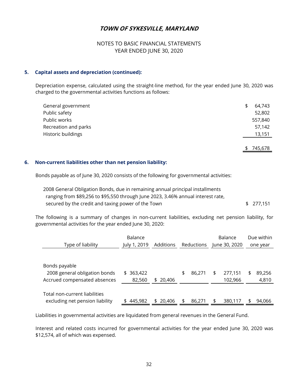## NOTES TO BASIC FINANCIAL STATEMENTS YEAR ENDED JUNE 30, 2020

#### **5. Capital assets and depreciation (continued):**

Depreciation expense, calculated using the straight-line method, for the year ended June 30, 2020 was charged to the governmental activities functions as follows:

| General government   | \$ | 64,743  |
|----------------------|----|---------|
| Public safety        |    | 52,802  |
| Public works         |    | 557,840 |
| Recreation and parks |    | 57,142  |
| Historic buildings   |    | 13,151  |
|                      |    |         |
|                      | S  | 745,678 |

#### **6. Non-current liabilities other than net pension liability:**

Bonds payable as of June 30, 2020 consists of the following for governmental activities:

| 2008 General Obligation Bonds, due in remaining annual principal installments    |            |
|----------------------------------------------------------------------------------|------------|
| ranging from \$89,256 to \$95,550 through June 2023, 3.46% annual interest rate, |            |
| secured by the credit and taxing power of the Town                               | \$ 277,151 |

The following is a summary of changes in non-current liabilities, excluding net pension liability, for governmental activities for the year ended June 30, 2020:

|                                 | Balance                   |             |              | Balance       | Due within   |  |
|---------------------------------|---------------------------|-------------|--------------|---------------|--------------|--|
| Type of liability               | July 1, 2019<br>Additions |             | Reductions   | June 30, 2020 | one year     |  |
|                                 |                           |             |              |               |              |  |
|                                 |                           |             |              |               |              |  |
| Bonds payable                   |                           |             |              |               |              |  |
| 2008 general obligation bonds   | 363,422<br>S.             |             | \$<br>86,271 | 277,151<br>\$ | 89,256<br>\$ |  |
| Accrued compensated absences    | 82,560                    | \$20,406    |              | 102,966       | 4,810        |  |
|                                 |                           |             |              |               |              |  |
| Total non-current liabilities   |                           |             |              |               |              |  |
| excluding net pension liability | 445,982                   | 20.406<br>S | 86,271       | 380,117       | 94,066       |  |

Liabilities in governmental activities are liquidated from general revenues in the General Fund.

Interest and related costs incurred for governmental activities for the year ended June 30, 2020 was \$12,574, all of which was expensed.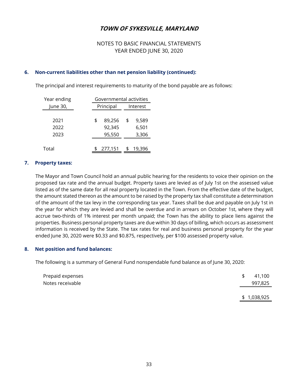## NOTES TO BASIC FINANCIAL STATEMENTS YEAR ENDED JUNE 30, 2020

#### **6. Non-current liabilities other than net pension liability (continued):**

The principal and interest requirements to maturity of the bond payable are as follows:

| Year ending | Governmental activities |         |    |        |  |          |
|-------------|-------------------------|---------|----|--------|--|----------|
| June 30,    | Principal               |         |    |        |  | Interest |
|             |                         |         |    |        |  |          |
| 2021        | \$                      | 89,256  | \$ | 9,589  |  |          |
| 2022        |                         | 92.345  |    | 6,501  |  |          |
| 2023        |                         | 95,550  |    | 3,306  |  |          |
|             |                         |         |    |        |  |          |
| Total       |                         | 277,151 | \$ | 19,396 |  |          |

#### **7. Property taxes:**

The Mayor and Town Council hold an annual public hearing for the residents to voice their opinion on the proposed tax rate and the annual budget. Property taxes are levied as of July 1st on the assessed value listed as of the same date for all real property located in the Town. From the effective date of the budget, the amount stated thereon as the amount to be raised by the property tax shall constitute a determination of the amount of the tax levy in the corresponding tax year. Taxes shall be due and payable on July 1st in the year for which they are levied and shall be overdue and in arrears on October 1st, where they will accrue two-thirds of 1% interest per month unpaid; the Town has the ability to place liens against the properties. Business personal property taxes are due within 30 days of billing, which occurs as assessment information is received by the State. The tax rates for real and business personal property for the year ended June 30, 2020 were \$0.33 and \$0.875, respectively, per \$100 assessed property value.

#### **8. Net position and fund balances:**

The following is a summary of General Fund nonspendable fund balance as of June 30, 2020:

| Prepaid expenses | \$<br>41,100 |
|------------------|--------------|
| Notes receivable | 997,825      |
|                  |              |
|                  | \$1,038,925  |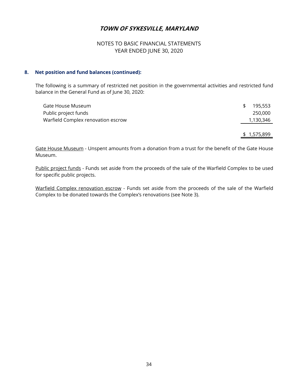## NOTES TO BASIC FINANCIAL STATEMENTS YEAR ENDED JUNE 30, 2020

#### **8. Net position and fund balances (continued):**

The following is a summary of restricted net position in the governmental activities and restricted fund balance in the General Fund as of June 30, 2020:

| Gate House Museum                  | 195,553<br>S. |
|------------------------------------|---------------|
| Public project funds               | 250,000       |
| Warfield Complex renovation escrow | 1,130,346     |
|                                    |               |
|                                    | \$1,575,899   |

Gate House Museum - Unspent amounts from a donation from a trust for the benefit of the Gate House Museum.

Public project funds - Funds set aside from the proceeds of the sale of the Warfield Complex to be used for specific public projects.

Warfield Complex renovation escrow - Funds set aside from the proceeds of the sale of the Warfield Complex to be donated towards the Complex's renovations (see Note 3).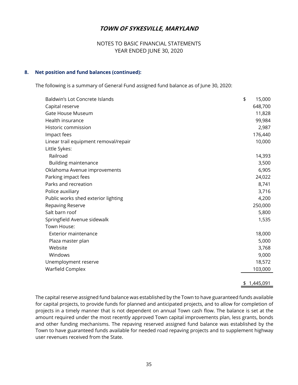## NOTES TO BASIC FINANCIAL STATEMENTS YEAR ENDED JUNE 30, 2020

#### **8. Net position and fund balances (continued):**

The following is a summary of General Fund assigned fund balance as of June 30, 2020:

| Baldwin's Lot Concrete Islands        | \$<br>15,000 |
|---------------------------------------|--------------|
| Capital reserve                       | 648,700      |
| Gate House Museum                     | 11,828       |
| Health insurance                      | 99,984       |
| Historic commission                   | 2,987        |
| Impact fees                           | 176,440      |
| Linear trail equipment removal/repair | 10,000       |
| Little Sykes:                         |              |
| Railroad                              | 14,393       |
| <b>Building maintenance</b>           | 3,500        |
| Oklahoma Avenue improvements          | 6,905        |
| Parking impact fees                   | 24,022       |
| Parks and recreation                  | 8,741        |
| Police auxiliary                      | 3,716        |
| Public works shed exterior lighting   | 4,200        |
| Repaving Reserve                      | 250,000      |
| Salt barn roof                        | 5,800        |
| Springfield Avenue sidewalk           | 1,535        |
| Town House:                           |              |
| <b>Exterior maintenance</b>           | 18,000       |
| Plaza master plan                     | 5,000        |
| Website                               | 3,768        |
| Windows                               | 9,000        |
| Unemployment reserve                  | 18,572       |
| Warfield Complex                      | 103,000      |
|                                       |              |

#### \$ 1,445,091

The capital reserve assigned fund balance was established by the Town to have guaranteed funds available for capital projects, to provide funds for planned and anticipated projects, and to allow for completion of projects in a timely manner that is not dependent on annual Town cash flow. The balance is set at the amount required under the most recently approved Town capital improvements plan, less grants, bonds and other funding mechanisms. The repaving reserved assigned fund balance was established by the Town to have guaranteed funds available for needed road repaving projects and to supplement highway user revenues received from the State.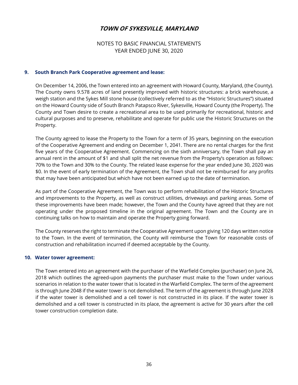## NOTES TO BASIC FINANCIAL STATEMENTS YEAR ENDED JUNE 30, 2020

#### **9. South Branch Park Cooperative agreement and lease:**

On December 14, 2006, the Town entered into an agreement with Howard County, Maryland, (the County). The County owns 9.578 acres of land presently improved with historic structures: a brick warehouse, a weigh station and the Sykes Mill stone house (collectively referred to as the "Historic Structures") situated on the Howard County side of South Branch Patapsco River, Sykesville, Howard County (the Property). The County and Town desire to create a recreational area to be used primarily for recreational, historic and cultural purposes and to preserve, rehabilitate and operate for public use the Historic Structures on the Property.

The County agreed to lease the Property to the Town for a term of 35 years, beginning on the execution of the Cooperative Agreement and ending on December 1, 2041. There are no rental charges for the first five years of the Cooperative Agreement. Commencing on the sixth anniversary, the Town shall pay an annual rent in the amount of \$1 and shall split the net revenue from the Property's operation as follows: 70% to the Town and 30% to the County. The related lease expense for the year ended June 30, 2020 was \$0. In the event of early termination of the Agreement, the Town shall not be reimbursed for any profits that may have been anticipated but which have not been earned up to the date of termination.

As part of the Cooperative Agreement, the Town was to perform rehabilitation of the Historic Structures and improvements to the Property, as well as construct utilities, driveways and parking areas. Some of these improvements have been made; however, the Town and the County have agreed that they are not operating under the proposed timeline in the original agreement. The Town and the County are in continuing talks on how to maintain and operate the Property going forward.

The County reserves the right to terminate the Cooperative Agreement upon giving 120 days written notice to the Town. In the event of termination, the County will reimburse the Town for reasonable costs of construction and rehabilitation incurred if deemed acceptable by the County.

#### **10. Water tower agreement:**

The Town entered into an agreement with the purchaser of the Warfield Complex (purchaser) on June 26, 2018 which outlines the agreed-upon payments the purchaser must make to the Town under various scenarios in relation to the water tower that is located in the Warfield Complex. The term of the agreement is through June 2048 if the water tower is not demolished. The term of the agreement is through June 2028 if the water tower is demolished and a cell tower is not constructed in its place. If the water tower is demolished and a cell tower is constructed in its place, the agreement is active for 30 years after the cell tower construction completion date.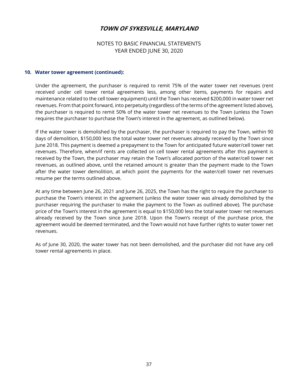## NOTES TO BASIC FINANCIAL STATEMENTS YEAR ENDED JUNE 30, 2020

#### **10. Water tower agreement (continued):**

Under the agreement, the purchaser is required to remit 75% of the water tower net revenues (rent received under cell tower rental agreements less, among other items, payments for repairs and maintenance related to the cell tower equipment) until the Town has received \$200,000 in water tower net revenues. From that point forward, into perpetuity (regardless of the terms of the agreement listed above), the purchaser is required to remit 50% of the water tower net revenues to the Town (unless the Town requires the purchaser to purchase the Town's interest in the agreement, as outlined below).

If the water tower is demolished by the purchaser, the purchaser is required to pay the Town, within 90 days of demolition, \$150,000 less the total water tower net revenues already received by the Town since June 2018. This payment is deemed a prepayment to the Town for anticipated future water/cell tower net revenues. Therefore, when/if rents are collected on cell tower rental agreements after this payment is received by the Town, the purchaser may retain the Town's allocated portion of the water/cell tower net revenues, as outlined above, until the retained amount is greater than the payment made to the Town after the water tower demolition, at which point the payments for the water/cell tower net revenues resume per the terms outlined above.

At any time between June 26, 2021 and June 26, 2025, the Town has the right to require the purchaser to purchase the Town's interest in the agreement (unless the water tower was already demolished by the purchaser requiring the purchaser to make the payment to the Town as outlined above). The purchase price of the Town's interest in the agreement is equal to \$150,000 less the total water tower net revenues already received by the Town since June 2018. Upon the Town's receipt of the purchase price, the agreement would be deemed terminated, and the Town would not have further rights to water tower net revenues.

As of June 30, 2020, the water tower has not been demolished, and the purchaser did not have any cell tower rental agreements in place.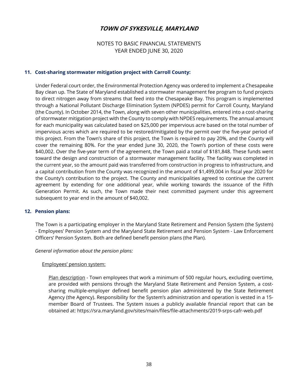## NOTES TO BASIC FINANCIAL STATEMENTS YEAR ENDED JUNE 30, 2020

#### **11. Cost-sharing stormwater mitigation project with Carroll County:**

Under Federal court order, the Environmental Protection Agency was ordered to implement a Chesapeake Bay clean up. The State of Maryland established a stormwater management fee program to fund projects to direct nitrogen away from streams that feed into the Chesapeake Bay. This program is implemented through a National Pollutant Discharge Elimination System (NPDES) permit for Carroll County, Maryland (the County). In October 2014, the Town, along with seven other municipalities, entered into a cost-sharing of stormwater mitigation project with the County to comply with NPDES requirements. The annual amount for each municipality was calculated based on \$25,000 per impervious acre based on the total number of impervious acres which are required to be restored/mitigated by the permit over the five-year period of this project. From the Town's share of this project, the Town is required to pay 20%, and the County will cover the remaining 80%. For the year ended June 30, 2020, the Town's portion of these costs were \$40,002. Over the five-year term of the agreement, the Town paid a total of \$181,848. These funds went toward the design and construction of a stormwater management facility. The facility was completed in the current year, so the amount paid was transferred from construction in progress to infrastructure, and a capital contribution from the County was recognized in the amount of \$1,499,004 in fiscal year 2020 for the County's contribution to the project. The County and municipalities agreed to continue the current agreement by extending for one additional year, while working towards the issuance of the Fifth Generation Permit. As such, the Town made their next committed payment under this agreement subsequent to year end in the amount of \$40,002.

#### **12. Pension plans:**

The Town is a participating employer in the Maryland State Retirement and Pension System (the System) - Employees' Pension System and the Maryland State Retirement and Pension System - Law Enforcement Officers' Pension System. Both are defined benefit pension plans (the Plan).

#### *General information about the pension plans:*

#### Employees' pension system:

Plan description - Town employees that work a minimum of 500 regular hours, excluding overtime, are provided with pensions through the Maryland State Retirement and Pension System, a costsharing multiple-employer defined benefit pension plan administered by the State Retirement Agency (the Agency). Responsibility for the System's administration and operation is vested in a 15 member Board of Trustees. The System issues a publicly available financial report that can be obtained at: https://sra.maryland.gov/sites/main/files/file-attachments/2019-srps-cafr-web.pdf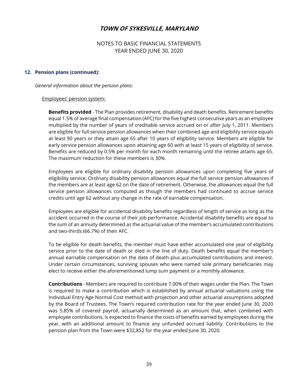## NOTES TO BASIC FINANCIAL STATEMENTS YEAR ENDED JUNE 30, 2020

#### **12. Pension plans (continued):**

 *General information about the pension plans:* 

#### Employees' pension system:

**Benefits provided** - The Plan provides retirement, disability and death benefits. Retirement benefits equal 1.5% of average final compensation (AFC) for the five highest consecutive years as an employee multiplied by the number of years of creditable service accrued on or after July 1, 2011. Members are eligible for full service pension allowances when their combined age and eligibility service equals at least 90 years or they attain age 65 after 10 years of eligibility service. Members are eligible for early service pension allowances upon attaining age 60 with at least 15 years of eligibility of service. Benefits are reduced by 0.5% per month for each month remaining until the retiree attains age 65. The maximum reduction for these members is 30%.

Employees are eligible for ordinary disability pension allowances upon completing five years of eligibility service. Ordinary disability pension allowances equal the full service pension allowances if the members are at least age 62 on the date of retirement. Otherwise, the allowances equal the full service pension allowances computed as though the members had continued to accrue service credits until age 62 without any change in the rate of earnable compensation.

Employees are eligible for accidental disability benefits regardless of length of service as long as the accident occurred in the course of their job performance. Accidental disability benefits are equal to the sum of an annuity determined as the actuarial value of the member's accumulated contributions and two-thirds (66.7%) of their AFC.

To be eligible for death benefits, the member must have either accumulated one year of eligibility service prior to the date of death or died in the line of duty. Death benefits equal the member's annual earnable compensation on the date of death plus accumulated contributions and interest. Under certain circumstances, surviving spouses who were named sole primary beneficiaries may elect to receive either the aforementioned lump sum payment or a monthly allowance.

**Contributions** - Members are required to contribute 7.00% of their wages under the Plan. The Town is required to make a contribution which is established by annual actuarial valuations using the Individual Entry Age Normal Cost method with projection and other actuarial assumptions adopted by the Board of Trustees. The Town's required contribution rate for the year ended June 30, 2020 was 5.85% of covered payroll, actuarially determined as an amount that, when combined with employee contributions, is expected to finance the costs of benefits earned by employees during the year, with an additional amount to finance any unfunded accrued liability. Contributions to the pension plan from the Town were \$32,852 for the year ended June 30, 2020.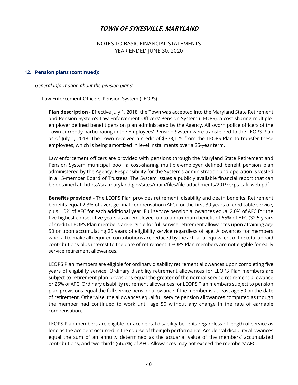## NOTES TO BASIC FINANCIAL STATEMENTS YEAR ENDED JUNE 30, 2020

#### **12. Pension plans (continued):**

 *General Information about the pension plans:* 

#### Law Enforcement Officers' Pension System (LEOPS) :

**Plan description** - Effective July 1, 2018, the Town was accepted into the Maryland State Retirement and Pension System's Law Enforcement Officers' Pension System (LEOPS), a cost-sharing multipleemployer defined benefit pension plan administered by the Agency. All sworn police officers of the Town currently participating in the Employees' Pension System were transferred to the LEOPS Plan as of July 1, 2018. The Town received a credit of \$373,125 from the LEOPS Plan to transfer these employees, which is being amortized in level installments over a 25-year term.

Law enforcement officers are provided with pensions through the Maryland State Retirement and Pension System municipal pool, a cost-sharing multiple-employer defined benefit pension plan administered by the Agency. Responsibility for the System's administration and operation is vested in a 15-member Board of Trustees. The System issues a publicly available financial report that can be obtained at: https://sra.maryland.gov/sites/main/files/file-attachments/2019-srps-cafr-web.pdf

**Benefits provided** - The LEOPS Plan provides retirement, disability and death benefits. Retirement benefits equal 2.3% of average final compensation (AFC) for the first 30 years of creditable service, plus 1.0% of AFC for each additional year. Full service pension allowances equal 2.0% of AFC for the five highest consecutive years as an employee, up to a maximum benefit of 65% of AFC (32.5 years of credit). LEOPS Plan members are eligible for full service retirement allowances upon attaining age 50 or upon accumulating 25 years of eligibility service regardless of age. Allowances for members who fail to make all required contributions are reduced by the actuarial equivalent of the total unpaid contributions plus interest to the date of retirement. LEOPS Plan members are not eligible for early service retirement allowances.

LEOPS Plan members are eligible for ordinary disability retirement allowances upon completing five years of eligibility service. Ordinary disability retirement allowances for LEOPS Plan members are subject to retirement plan provisions equal the greater of the normal service retirement allowance or 25% of AFC. Ordinary disability retirement allowances for LEOPS Plan members subject to pension plan provisions equal the full service pension allowance if the member is at least age 50 on the date of retirement. Otherwise, the allowances equal full service pension allowances computed as though the member had continued to work until age 50 without any change in the rate of earnable compensation.

LEOPS Plan members are eligible for accidental disability benefits regardless of length of service as long as the accident occurred in the course of their job performance. Accidental disability allowances equal the sum of an annuity determined as the actuarial value of the members' accumulated contributions, and two-thirds (66.7%) of AFC. Allowances may not exceed the members' AFC.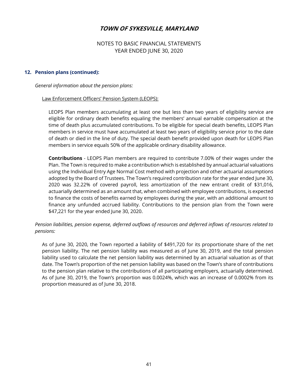## NOTES TO BASIC FINANCIAL STATEMENTS YEAR ENDED JUNE 30, 2020

#### **12. Pension plans (continued):**

 *General information about the pension plans:*

#### **Law Enforcement Officers' Pension System (LEOPS):**

LEOPS Plan members accumulating at least one but less than two years of eligibility service are eligible for ordinary death benefits equaling the members' annual earnable compensation at the time of death plus accumulated contributions. To be eligible for special death benefits, LEOPS Plan members in service must have accumulated at least two years of eligibility service prior to the date of death or died in the line of duty. The special death benefit provided upon death for LEOPS Plan members in service equals 50% of the applicable ordinary disability allowance.

**Contributions** - LEOPS Plan members are required to contribute 7.00% of their wages under the Plan. The Town is required to make a contribution which is established by annual actuarial valuations using the Individual Entry Age Normal Cost method with projection and other actuarial assumptions adopted by the Board of Trustees. The Town's required contribution rate for the year ended June 30, 2020 was 32.22% of covered payroll, less amortization of the new entrant credit of \$31,016, actuarially determined as an amount that, when combined with employee contributions, is expected to finance the costs of benefits earned by employees during the year, with an additional amount to finance any unfunded accrued liability. Contributions to the pension plan from the Town were \$47,221 for the year ended June 30, 2020.

#### *Pension liabilities, pension expense, deferred outflows of resources and deferred inflows of resources related to pensions:*

As of June 30, 2020, the Town reported a liability of \$491,720 for its proportionate share of the net pension liability. The net pension liability was measured as of June 30, 2019, and the total pension liability used to calculate the net pension liability was determined by an actuarial valuation as of that date. The Town's proportion of the net pension liability was based on the Town's share of contributions to the pension plan relative to the contributions of all participating employers, actuarially determined. As of June 30, 2019, the Town's proportion was 0.0024%, which was an increase of 0.0002% from its proportion measured as of June 30, 2018.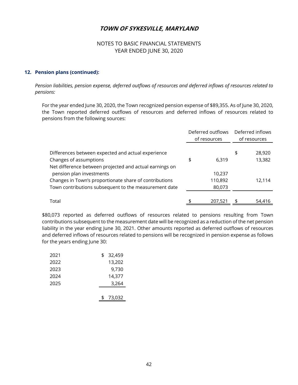## NOTES TO BASIC FINANCIAL STATEMENTS YEAR ENDED JUNE 30, 2020

#### **12. Pension plans (continued):**

*Pension liabilities, pension expense, deferred outflows of resources and deferred inflows of resources related to pensions:* 

For the year ended June 30, 2020, the Town recognized pension expense of \$89,355. As of June 30, 2020, the Town reported deferred outflows of resources and deferred inflows of resources related to pensions from the following sources:

|                                                         | Deferred outflows<br>of resources | Deferred inflows<br>of resources |        |  |
|---------------------------------------------------------|-----------------------------------|----------------------------------|--------|--|
|                                                         |                                   |                                  |        |  |
| Differences between expected and actual experience      |                                   | \$                               | 28,920 |  |
| Changes of assumptions                                  | \$<br>6,319                       |                                  | 13,382 |  |
| Net difference between projected and actual earnings on |                                   |                                  |        |  |
| pension plan investments                                | 10,237                            |                                  |        |  |
| Changes in Town's proportionate share of contributions  | 110,892                           |                                  | 12,114 |  |
| Town contributions subsequent to the measurement date   | 80,073                            |                                  |        |  |
|                                                         |                                   |                                  |        |  |
| Total                                                   | 207,521                           |                                  | 54,416 |  |

\$80,073 reported as deferred outflows of resources related to pensions resulting from Town contributions subsequent to the measurement date will be recognized as a reduction of the net pension liability in the year ending June 30, 2021. Other amounts reported as deferred outflows of resources and deferred inflows of resources related to pensions will be recognized in pension expense as follows for the years ending June 30:

| 2021 | \$<br>32,459 |
|------|--------------|
| 2022 | 13,202       |
| 2023 | 9,730        |
| 2024 | 14,377       |
| 2025 | 3,264        |
|      |              |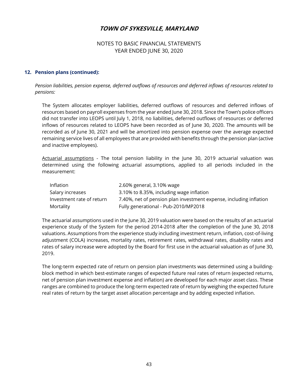## NOTES TO BASIC FINANCIAL STATEMENTS YEAR ENDED JUNE 30, 2020

#### **12. Pension plans (continued):**

*Pension liabilities, pension expense, deferred outflows of resources and deferred inflows of resources related to pensions:* 

The System allocates employer liabilities, deferred outflows of resources and deferred inflows of resources based on payroll expenses from the year ended June 30, 2018. Since the Town's police officers did not transfer into LEOPS until July 1, 2018, no liabilities, deferred outflows of resources or deferred inflows of resources related to LEOPS have been recorded as of June 30, 2020. The amounts will be recorded as of June 30, 2021 and will be amortized into pension expense over the average expected remaining service lives of all employees that are provided with benefits through the pension plan (active and inactive employees).

Actuarial assumptions - The total pension liability in the June 30, 2019 actuarial valuation was determined using the following actuarial assumptions, applied to all periods included in the measurement:

| Inflation                 | 2.60% general, 3.10% wage                                          |
|---------------------------|--------------------------------------------------------------------|
| Salary increases          | 3.10% to 8.35%, including wage inflation                           |
| Investment rate of return | 7.40%, net of pension plan investment expense, including inflation |
| Mortality                 | Fully generational - Pub-2010/MP2018                               |

The actuarial assumptions used in the June 30, 2019 valuation were based on the results of an actuarial experience study of the System for the period 2014-2018 after the completion of the June 30, 2018 valuations. Assumptions from the experience study including investment return, inflation, cost-of-living adjustment (COLA) increases, mortality rates, retirement rates, withdrawal rates, disability rates and rates of salary increase were adopted by the Board for first use in the actuarial valuation as of June 30, 2019.

The long-term expected rate of return on pension plan investments was determined using a buildingblock method in which best-estimate ranges of expected future real rates of return (expected returns, net of pension plan investment expense and inflation) are developed for each major asset class. These ranges are combined to produce the long-term expected rate of return by weighing the expected future real rates of return by the target asset allocation percentage and by adding expected inflation.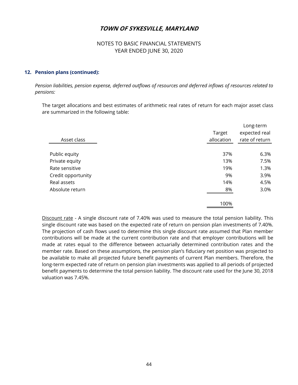## NOTES TO BASIC FINANCIAL STATEMENTS YEAR ENDED JUNE 30, 2020

#### **12. Pension plans (continued):**

*Pension liabilities, pension expense, deferred outflows of resources and deferred inflows of resources related to pensions:* 

The target allocations and best estimates of arithmetic real rates of return for each major asset class are summarized in the following table:

| Asset class        | Target<br>allocation | Long-term<br>expected real<br>rate of return |
|--------------------|----------------------|----------------------------------------------|
| Public equity      | 37%                  | 6.3%                                         |
| Private equity     | 13%                  | 7.5%                                         |
| Rate sensitive     | 19%                  | 1.3%                                         |
| Credit opportunity | 9%                   | 3.9%                                         |
| Real assets        | 14%                  | 4.5%                                         |
| Absolute return    | 8%                   | 3.0%                                         |
|                    | 100%                 |                                              |

Discount rate - A single discount rate of 7.40% was used to measure the total pension liability. This single discount rate was based on the expected rate of return on pension plan investments of 7.40%. The projection of cash flows used to determine this single discount rate assumed that Plan member contributions will be made at the current contribution rate and that employer contributions will be made at rates equal to the difference between actuarially determined contribution rates and the member rate. Based on these assumptions, the pension plan's fiduciary net position was projected to be available to make all projected future benefit payments of current Plan members. Therefore, the long-term expected rate of return on pension plan investments was applied to all periods of projected benefit payments to determine the total pension liability. The discount rate used for the June 30, 2018 valuation was 7.45%.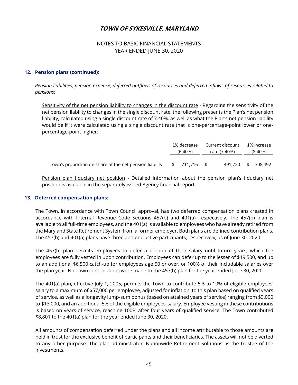## NOTES TO BASIC FINANCIAL STATEMENTS YEAR ENDED JUNE 30, 2020

#### **12. Pension plans (continued):**

*Pension liabilities, pension expense, deferred outflows of resources and deferred inflows of resources related to pensions:* 

*S*ensitivity of the net pension liability to changes in the discount rate - Regarding the sensitivity of the net pension liability to changes in the single discount rate, the following presents the Plan's net pension liability, calculated using a single discount rate of 7.40%, as well as what the Plan's net pension liability would be if it were calculated using a single discount rate that is one-percentage-point lower or onepercentage-point higher:

|                                                         | 1% decrease  | Current discount | 1% increase |
|---------------------------------------------------------|--------------|------------------|-------------|
|                                                         | $(6.40\%)$   | rate (7.40%)     | $(8.40\%)$  |
|                                                         |              |                  |             |
| Town's proportionate share of the net pension liability | \$711.716 \$ | 491.720 \$       | 308.492     |

Pension plan fiduciary net position - Detailed information about the pension plan's fiduciary net position is available in the separately issued Agency financial report.

#### **13. Deferred compensation plans:**

The Town, in accordance with Town Council approval, has two deferred compensation plans created in accordance with Internal Revenue Code Sections 457(b) and 401(a), respectively. The 457(b) plan is available to all full-time employees, and the 401(a) is available to employees who have already retired from the Maryland State Retirement System from a former employer. Both plans are defined contribution plans. The 457(b) and 401(a) plans have three and one active participants, respectively, as of June 30, 2020.

The 457(b) plan permits employees to defer a portion of their salary until future years, which the employees are fully vested in upon contribution. Employees can defer up to the lesser of \$19,500, and up to an additional \$6,500 catch-up for employees age 50 or over, or 100% of their includable salaries over the plan year. No Town contributions were made to the 457(b) plan for the year ended June 30, 2020.

The 401(a) plan, effective July 1, 2005, permits the Town to contribute 5% to 10% of eligible employees' salary to a maximum of \$57,000 per employee, adjusted for inflation, to this plan based on qualified years of service, as well as a longevity lump-sum bonus (based on attained years of service) ranging from \$3,000 to \$13,000, and an additional 5% of the eligible employees' salary. Employee vesting in these contributions is based on years of service, reaching 100% after four years of qualified service. The Town contributed \$8,801 to the 401(a) plan for the year ended June 30, 2020.

All amounts of compensation deferred under the plans and all income attributable to those amounts are held in trust for the exclusive benefit of participants and their beneficiaries. The assets will not be diverted to any other purpose. The plan administrator, Nationwide Retirement Solutions, is the trustee of the investments.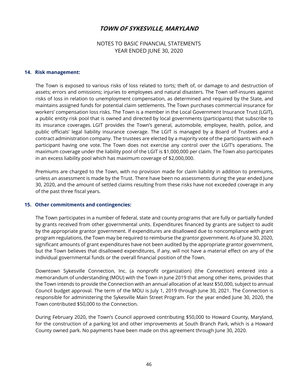## NOTES TO BASIC FINANCIAL STATEMENTS YEAR ENDED JUNE 30, 2020

#### **14. Risk management:**

The Town is exposed to various risks of loss related to torts; theft of, or damage to and destruction of assets; errors and omissions; injuries to employees and natural disasters. The Town self-insures against risks of loss in relation to unemployment compensation, as determined and required by the State, and maintains assigned funds for potential claim settlements. The Town purchases commercial insurance for workers' compensation loss risks. The Town is a member in the Local Government Insurance Trust (LGIT), a public entity risk pool that is owned and directed by local governments (participants) that subscribe to its insurance coverages. LGIT provides the Town's general, automobile, employee, health, police, and public officials' legal liability insurance coverage. The LGIT is managed by a Board of Trustees and a contract administration company. The trustees are elected by a majority vote of the participants with each participant having one vote. The Town does not exercise any control over the LGIT's operations. The maximum coverage under the liability pool of the LGIT is \$1,000,000 per claim. The Town also participates in an excess liability pool which has maximum coverage of \$2,000,000.

Premiums are charged to the Town, with no provision made for claim liability in addition to premiums, unless an assessment is made by the Trust. There have been no assessments during the year ended June 30, 2020, and the amount of settled claims resulting from these risks have not exceeded coverage in any of the past three fiscal years.

#### **15. Other commitments and contingencies:**

The Town participates in a number of federal, state and county programs that are fully or partially funded by grants received from other governmental units. Expenditures financed by grants are subject to audit by the appropriate grantor government. If expenditures are disallowed due to noncompliance with grant program regulations, the Town may be required to reimburse the grantor government. As of June 30, 2020, significant amounts of grant expenditures have not been audited by the appropriate grantor government, but the Town believes that disallowed expenditures, if any, will not have a material effect on any of the individual governmental funds or the overall financial position of the Town.

Downtown Sykesville Connection, Inc. (a nonprofit organization) (the Connection) entered into a memorandum of understanding (MOU) with the Town in June 2019 that among other items, provides that the Town intends to provide the Connection with an annual allocation of at least \$50,000, subject to annual Council budget approval. The term of the MOU is July 1, 2019 through June 30, 2021. The Connection is responsible for administering the Sykesville Main Street Program. For the year ended June 30, 2020, the Town contributed \$50,000 to the Connection.

During February 2020, the Town's Council approved contributing \$50,000 to Howard County, Maryland, for the construction of a parking lot and other improvements at South Branch Park, which is a Howard County owned park. No payments have been made on this agreement through June 30, 2020.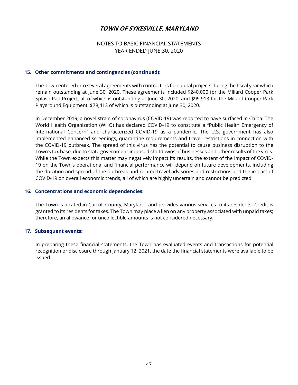## NOTES TO BASIC FINANCIAL STATEMENTS YEAR ENDED JUNE 30, 2020

#### **15. Other commitments and contingencies (continued):**

The Town entered into several agreements with contractors for capital projects during the fiscal year which remain outstanding at June 30, 2020. These agreements included \$240,000 for the Millard Cooper Park Splash Pad Project, all of which is outstanding at June 30, 2020, and \$99,913 for the Millard Cooper Park Playground Equipment, \$78,413 of which is outstanding at June 30, 2020.

In December 2019, a novel strain of coronavirus (COVID-19) was reported to have surfaced in China. The World Health Organization (WHO) has declared COVID-19 to constitute a "Public Health Emergency of International Concern" and characterized COVID-19 as a pandemic. The U.S. government has also implemented enhanced screenings, quarantine requirements and travel restrictions in connection with the COVID-19 outbreak. The spread of this virus has the potential to cause business disruption to the Town's tax base, due to state government-imposed shutdowns of businesses and other results of the virus. While the Town expects this matter may negatively impact its results, the extent of the impact of COVID-19 on the Town's operational and financial performance will depend on future developments, including the duration and spread of the outbreak and related travel advisories and restrictions and the impact of COVID-19 on overall economic trends, all of which are highly uncertain and cannot be predicted.

#### **16. Concentrations and economic dependencies:**

The Town is located in Carroll County, Maryland, and provides various services to its residents. Credit is granted to its residents for taxes. The Town may place a lien on any property associated with unpaid taxes; therefore, an allowance for uncollectible amounts is not considered necessary.

#### **17. Subsequent events:**

In preparing these financial statements, the Town has evaluated events and transactions for potential recognition or disclosure through January 12, 2021, the date the financial statements were available to be issued.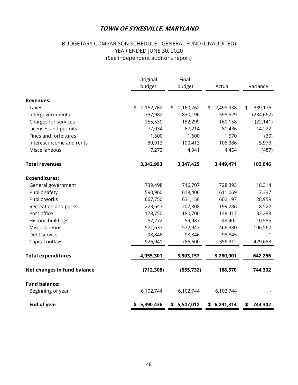## BUDGETARY COMPARISON SCHEDULE - GENERAL FUND (UNAUDITED) YEAR ENDED JUNE 30, 2020 (See independent auditor's report)

|                             | Original        | Final           |                 |               |  |
|-----------------------------|-----------------|-----------------|-----------------|---------------|--|
|                             | budget          | budget          | Actual          | Variance      |  |
| <b>Revenues:</b>            |                 |                 |                 |               |  |
| <b>Taxes</b>                | 2,162,762<br>\$ | 2,160,762<br>\$ | 2,499,938<br>\$ | 339,176<br>\$ |  |
| Intergovernmental           | 757,982         | 830,196         | 595,529         | (234, 667)    |  |
| Charges for services        | 255,530         | 182,299         | 160,158         | (22, 141)     |  |
| Licenses and permits        | 77,034          | 67,214          | 81,436          | 14,222        |  |
| Fines and forfeitures       | 1,500           | 1,600           | 1,570           | (30)          |  |
| Interest income and rents   | 80,913          | 100,413         | 106,386         | 5,973         |  |
| Miscellaneous               | 7,272           | 4,941           | 4,454           | (487)         |  |
| <b>Total revenues</b>       | 3,342,993       | 3,347,425       | 3,449,471       | 102,046       |  |
| <b>Expenditures:</b>        |                 |                 |                 |               |  |
| General government          | 739,498         | 746,707         | 728,393         | 18,314        |  |
| Public safety               | 590,960         | 618,406         | 611,069         | 7,337         |  |
| Public works                | 667,750         | 631,156         | 602,197         | 28,959        |  |
| Recreation and parks        | 223,647         | 207,808         | 199,286         | 8,522         |  |
| Post office                 | 178,750         | 180,700         | 148,417         | 32,283        |  |
| Historic buildings          | 57,272          | 59,987          | 49,402          | 10,585        |  |
| Miscellaneous               | 571,637         | 572,947         | 466,380         | 106,567       |  |
| Debt service                | 98,846          | 98,846          | 98,845          | 1             |  |
| Capital outlays             | 926,941         | 786,600         | 356,912         | 429,688       |  |
| <b>Total expenditures</b>   | 4,055,301       | 3,903,157       | 3,260,901       | 642,256       |  |
| Net changes in fund balance | (712, 308)      | (555, 732)      | 188,570         | 744,302       |  |
| <b>Fund balance:</b>        |                 |                 |                 |               |  |
| Beginning of year           | 6,102,744       | 6,102,744       | 6,102,744       |               |  |
| <b>End of year</b>          | \$5,390,436     | \$5,547,012     | 6,291,314<br>\$ | 744,302<br>\$ |  |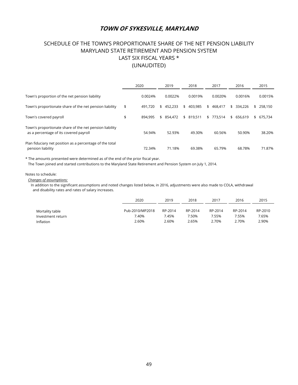## SCHEDULE OF THE TOWN'S PROPORTIONATE SHARE OF THE NET PENSION LIABILITY MARYLAND STATE RETIREMENT AND PENSION SYSTEM LAST SIX FISCAL YEARS \* (UNAUDITED)

|                                                                                                   | 2020          | 2019          | 2018          | 2017          | 2016       | 2015          |
|---------------------------------------------------------------------------------------------------|---------------|---------------|---------------|---------------|------------|---------------|
| Town's proportion of the net pension liability                                                    | 0.0024%       | 0.0022%       | 0.0019%       | 0.0020%       | 0.0016%    | 0.0015%       |
| Town's proportionate share of the net pension liability                                           | \$<br>491.720 | \$<br>452.233 | \$<br>403.985 | \$<br>468.417 | \$334.226  | \$<br>258,150 |
| Town's covered payroll                                                                            | \$<br>894.995 | \$ 854,472    | \$ 819.511    | \$773.514     | \$ 656,619 | \$<br>675.734 |
| Town's proportionate share of the net pension liability<br>as a percentage of its covered payroll | 54.94%        | 52.93%        | 49.30%        | 60.56%        | 50.90%     | 38.20%        |
| Plan fiduciary net position as a percentage of the total<br>pension liability                     | 72.34%        | 71.18%        | 69.38%        | 65.79%        | 68.78%     | 71.87%        |

\* The amounts presented were determined as of the end of the prior fiscal year.

The Town joined and started contributions to the Maryland State Retirement and Pension System on July 1, 2014.

#### Notes to schedule:

*Changes of assumptions:*

In addition to the significant assumptions and noted changes listed below, in 2016, adjustments were also made to COLA, withdrawal and disability rates and rates of salary increases.

|                   | 2020            | 2019    | 2018    | 2017    | 2016    | 2015    |
|-------------------|-----------------|---------|---------|---------|---------|---------|
|                   |                 |         |         |         |         |         |
| Mortality table   | Pub-2010/MP2018 | RP-2014 | RP-2014 | RP-2014 | RP-2014 | RP-2010 |
| Investment return | 7.40%           | 7.45%   | 7.50%   | 7.55%   | 7.55%   | 7.65%   |
| Inflation         | 2.60%           | 2.60%   | 2.65%   | 2.70%   | 2.70%   | 2.90%   |